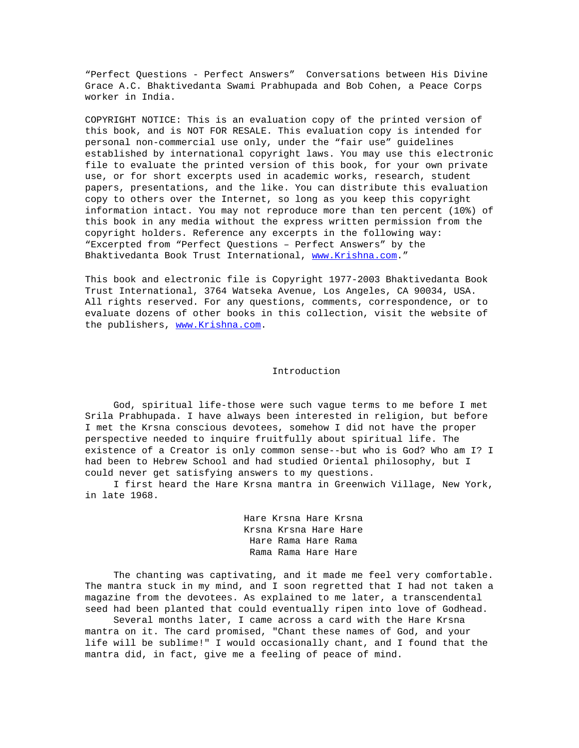"Perfect Questions - Perfect Answers" Conversations between His Divine Grace A.C. Bhaktivedanta Swami Prabhupada and Bob Cohen, a Peace Corps worker in India.

COPYRIGHT NOTICE: This is an evaluation copy of the printed version of this book, and is NOT FOR RESALE. This evaluation copy is intended for personal non-commercial use only, under the "fair use" guidelines established by international copyright laws. You may use this electronic file to evaluate the printed version of this book, for your own private use, or for short excerpts used in academic works, research, student papers, presentations, and the like. You can distribute this evaluation copy to others over the Internet, so long as you keep this copyright information intact. You may not reproduce more than ten percent (10%) of this book in any media without the express written permission from the copyright holders. Reference any excerpts in the following way: "Excerpted from "Perfect Questions – Perfect Answers" by the Bhaktivedanta Book Trust International, www.Krishna.com."

This book and electronic file is Copyright 1977-2003 Bhaktivedanta Book Trust International, 3764 Watseka Avenue, Los Angeles, CA 90034, USA. All rights reserved. For any questions, comments, correspondence, or to evaluate dozens of other books in this collection, visit the website of the publishers, www.Krishna.com.

#### Introduction

 God, spiritual life-those were such vague terms to me before I met Srila Prabhupada. I have always been interested in religion, but before I met the Krsna conscious devotees, somehow I did not have the proper perspective needed to inquire fruitfully about spiritual life. The existence of a Creator is only common sense--but who is God? Who am I? I had been to Hebrew School and had studied Oriental philosophy, but I could never get satisfying answers to my questions.

 I first heard the Hare Krsna mantra in Greenwich Village, New York, in late 1968.

> Hare Krsna Hare Krsna Krsna Krsna Hare Hare Hare Rama Hare Rama Rama Rama Hare Hare

 The chanting was captivating, and it made me feel very comfortable. The mantra stuck in my mind, and I soon regretted that I had not taken a magazine from the devotees. As explained to me later, a transcendental seed had been planted that could eventually ripen into love of Godhead.

 Several months later, I came across a card with the Hare Krsna mantra on it. The card promised, "Chant these names of God, and your life will be sublime!" I would occasionally chant, and I found that the mantra did, in fact, give me a feeling of peace of mind.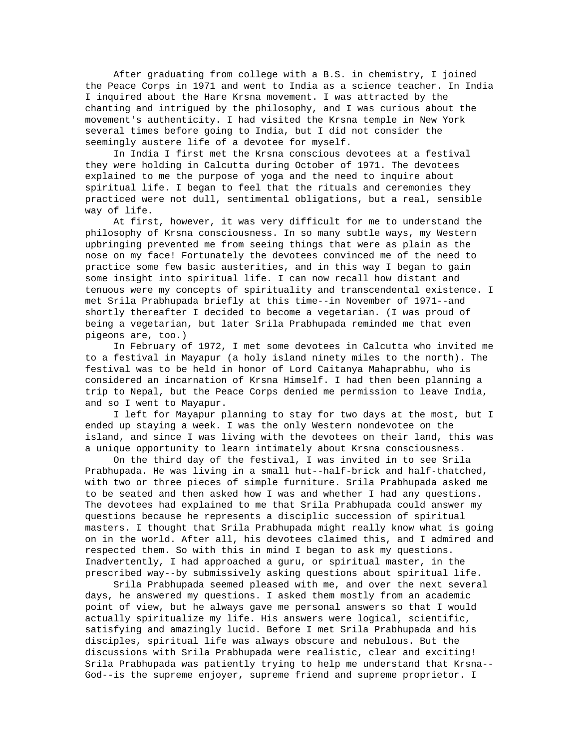After graduating from college with a B.S. in chemistry, I joined the Peace Corps in 1971 and went to India as a science teacher. In India I inquired about the Hare Krsna movement. I was attracted by the chanting and intrigued by the philosophy, and I was curious about the movement's authenticity. I had visited the Krsna temple in New York several times before going to India, but I did not consider the seemingly austere life of a devotee for myself.

 In India I first met the Krsna conscious devotees at a festival they were holding in Calcutta during October of 1971. The devotees explained to me the purpose of yoga and the need to inquire about spiritual life. I began to feel that the rituals and ceremonies they practiced were not dull, sentimental obligations, but a real, sensible way of life.

 At first, however, it was very difficult for me to understand the philosophy of Krsna consciousness. In so many subtle ways, my Western upbringing prevented me from seeing things that were as plain as the nose on my face! Fortunately the devotees convinced me of the need to practice some few basic austerities, and in this way I began to gain some insight into spiritual life. I can now recall how distant and tenuous were my concepts of spirituality and transcendental existence. I met Srila Prabhupada briefly at this time--in November of 1971--and shortly thereafter I decided to become a vegetarian. (I was proud of being a vegetarian, but later Srila Prabhupada reminded me that even pigeons are, too.)

 In February of 1972, I met some devotees in Calcutta who invited me to a festival in Mayapur (a holy island ninety miles to the north). The festival was to be held in honor of Lord Caitanya Mahaprabhu, who is considered an incarnation of Krsna Himself. I had then been planning a trip to Nepal, but the Peace Corps denied me permission to leave India, and so I went to Mayapur.

 I left for Mayapur planning to stay for two days at the most, but I ended up staying a week. I was the only Western nondevotee on the island, and since I was living with the devotees on their land, this was a unique opportunity to learn intimately about Krsna consciousness.

 On the third day of the festival, I was invited in to see Srila Prabhupada. He was living in a small hut--half-brick and half-thatched, with two or three pieces of simple furniture. Srila Prabhupada asked me to be seated and then asked how I was and whether I had any questions. The devotees had explained to me that Srila Prabhupada could answer my questions because he represents a disciplic succession of spiritual masters. I thought that Srila Prabhupada might really know what is going on in the world. After all, his devotees claimed this, and I admired and respected them. So with this in mind I began to ask my questions. Inadvertently, I had approached a guru, or spiritual master, in the prescribed way--by submissively asking questions about spiritual life.

 Srila Prabhupada seemed pleased with me, and over the next several days, he answered my questions. I asked them mostly from an academic point of view, but he always gave me personal answers so that I would actually spiritualize my life. His answers were logical, scientific, satisfying and amazingly lucid. Before I met Srila Prabhupada and his disciples, spiritual life was always obscure and nebulous. But the discussions with Srila Prabhupada were realistic, clear and exciting! Srila Prabhupada was patiently trying to help me understand that Krsna-- God--is the supreme enjoyer, supreme friend and supreme proprietor. I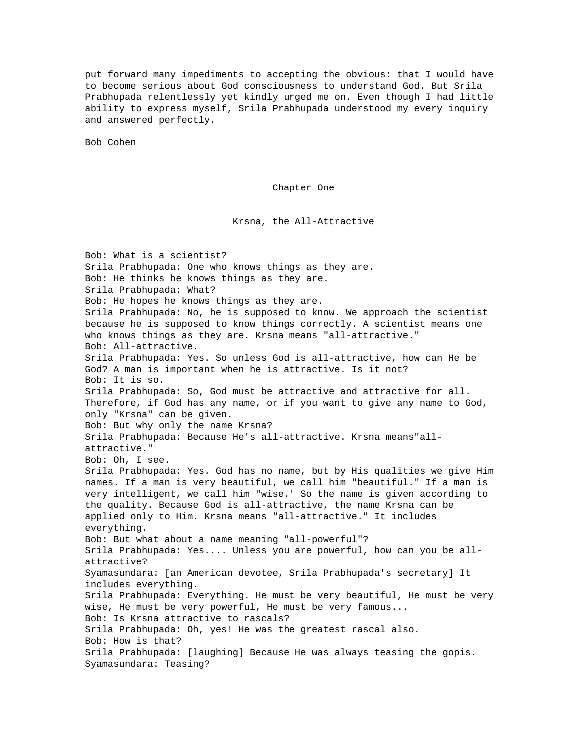put forward many impediments to accepting the obvious: that I would have to become serious about God consciousness to understand God. But Srila Prabhupada relentlessly yet kindly urged me on. Even though I had little ability to express myself, Srila Prabhupada understood my every inquiry and answered perfectly.

Bob Cohen

Chapter One

Krsna, the All-Attractive

Bob: What is a scientist? Srila Prabhupada: One who knows things as they are. Bob: He thinks he knows things as they are. Srila Prabhupada: What? Bob: He hopes he knows things as they are. Srila Prabhupada: No, he is supposed to know. We approach the scientist because he is supposed to know things correctly. A scientist means one who knows things as they are. Krsna means "all-attractive." Bob: All-attractive. Srila Prabhupada: Yes. So unless God is all-attractive, how can He be God? A man is important when he is attractive. Is it not? Bob: It is so. Srila Prabhupada: So, God must be attractive and attractive for all. Therefore, if God has any name, or if you want to give any name to God, only "Krsna" can be given. Bob: But why only the name Krsna? Srila Prabhupada: Because He's all-attractive. Krsna means"allattractive." Bob: Oh, I see. Srila Prabhupada: Yes. God has no name, but by His qualities we give Him names. If a man is very beautiful, we call him "beautiful." If a man is very intelligent, we call him "wise.' So the name is given according to the quality. Because God is all-attractive, the name Krsna can be applied only to Him. Krsna means "all-attractive." It includes everything. Bob: But what about a name meaning "all-powerful"? Srila Prabhupada: Yes.... Unless you are powerful, how can you be allattractive? Syamasundara: [an American devotee, Srila Prabhupada's secretary] It includes everything. Srila Prabhupada: Everything. He must be very beautiful, He must be very wise, He must be very powerful, He must be very famous... Bob: Is Krsna attractive to rascals? Srila Prabhupada: Oh, yes! He was the greatest rascal also. Bob: How is that? Srila Prabhupada: [laughing] Because He was always teasing the gopis. Syamasundara: Teasing?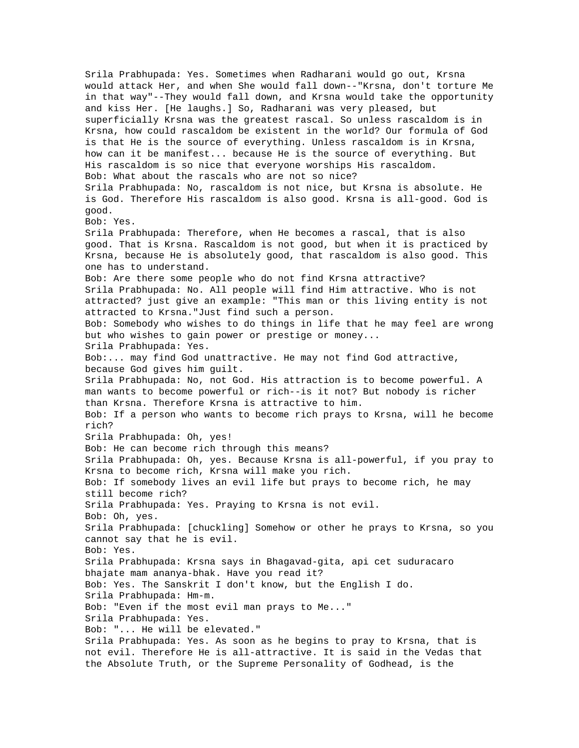Srila Prabhupada: Yes. Sometimes when Radharani would go out, Krsna would attack Her, and when She would fall down--"Krsna, don't torture Me in that way"--They would fall down, and Krsna would take the opportunity and kiss Her. [He laughs.] So, Radharani was very pleased, but superficially Krsna was the greatest rascal. So unless rascaldom is in Krsna, how could rascaldom be existent in the world? Our formula of God is that He is the source of everything. Unless rascaldom is in Krsna, how can it be manifest... because He is the source of everything. But His rascaldom is so nice that everyone worships His rascaldom. Bob: What about the rascals who are not so nice? Srila Prabhupada: No, rascaldom is not nice, but Krsna is absolute. He is God. Therefore His rascaldom is also good. Krsna is all-good. God is good. Bob: Yes. Srila Prabhupada: Therefore, when He becomes a rascal, that is also good. That is Krsna. Rascaldom is not good, but when it is practiced by Krsna, because He is absolutely good, that rascaldom is also good. This one has to understand. Bob: Are there some people who do not find Krsna attractive? Srila Prabhupada: No. All people will find Him attractive. Who is not attracted? just give an example: "This man or this living entity is not attracted to Krsna."Just find such a person. Bob: Somebody who wishes to do things in life that he may feel are wrong but who wishes to gain power or prestige or money... Srila Prabhupada: Yes. Bob:... may find God unattractive. He may not find God attractive, because God gives him guilt. Srila Prabhupada: No, not God. His attraction is to become powerful. A man wants to become powerful or rich--is it not? But nobody is richer than Krsna. Therefore Krsna is attractive to him. Bob: If a person who wants to become rich prays to Krsna, will he become rich? Srila Prabhupada: Oh, yes! Bob: He can become rich through this means? Srila Prabhupada: Oh, yes. Because Krsna is all-powerful, if you pray to Krsna to become rich, Krsna will make you rich. Bob: If somebody lives an evil life but prays to become rich, he may still become rich? Srila Prabhupada: Yes. Praying to Krsna is not evil. Bob: Oh, yes. Srila Prabhupada: [chuckling] Somehow or other he prays to Krsna, so you cannot say that he is evil. Bob: Yes. Srila Prabhupada: Krsna says in Bhagavad-gita, api cet suduracaro bhajate mam ananya-bhak. Have you read it? Bob: Yes. The Sanskrit I don't know, but the English I do. Srila Prabhupada: Hm-m. Bob: "Even if the most evil man prays to Me..." Srila Prabhupada: Yes. Bob: "... He will be elevated." Srila Prabhupada: Yes. As soon as he begins to pray to Krsna, that is not evil. Therefore He is all-attractive. It is said in the Vedas that the Absolute Truth, or the Supreme Personality of Godhead, is the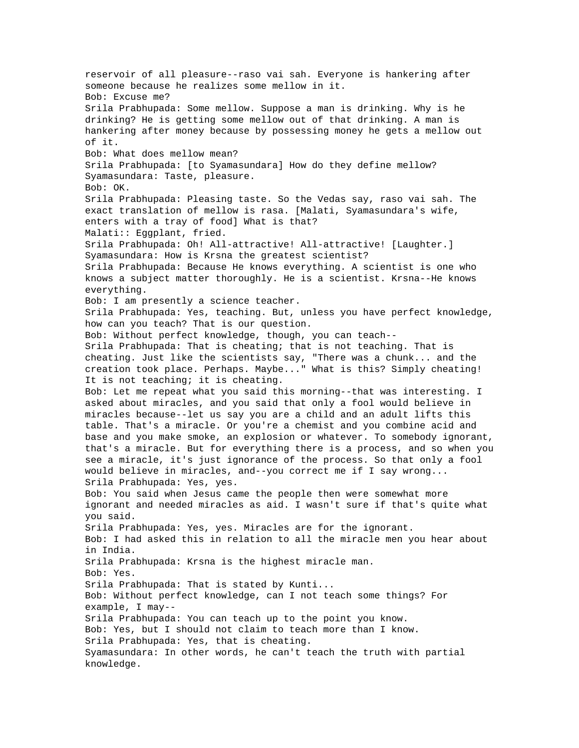reservoir of all pleasure--raso vai sah. Everyone is hankering after someone because he realizes some mellow in it. Bob: Excuse me? Srila Prabhupada: Some mellow. Suppose a man is drinking. Why is he drinking? He is getting some mellow out of that drinking. A man is hankering after money because by possessing money he gets a mellow out of it. Bob: What does mellow mean? Srila Prabhupada: [to Syamasundara] How do they define mellow? Syamasundara: Taste, pleasure. Bob: OK. Srila Prabhupada: Pleasing taste. So the Vedas say, raso vai sah. The exact translation of mellow is rasa. [Malati, Syamasundara's wife, enters with a tray of food] What is that? Malati:: Eggplant, fried. Srila Prabhupada: Oh! All-attractive! All-attractive! [Laughter.] Syamasundara: How is Krsna the greatest scientist? Srila Prabhupada: Because He knows everything. A scientist is one who knows a subject matter thoroughly. He is a scientist. Krsna--He knows everything. Bob: I am presently a science teacher. Srila Prabhupada: Yes, teaching. But, unless you have perfect knowledge, how can you teach? That is our question. Bob: Without perfect knowledge, though, you can teach-- Srila Prabhupada: That is cheating; that is not teaching. That is cheating. Just like the scientists say, "There was a chunk... and the creation took place. Perhaps. Maybe..." What is this? Simply cheating! It is not teaching; it is cheating. Bob: Let me repeat what you said this morning--that was interesting. I asked about miracles, and you said that only a fool would believe in miracles because--let us say you are a child and an adult lifts this table. That's a miracle. Or you're a chemist and you combine acid and base and you make smoke, an explosion or whatever. To somebody ignorant, that's a miracle. But for everything there is a process, and so when you see a miracle, it's just ignorance of the process. So that only a fool would believe in miracles, and--you correct me if I say wrong... Srila Prabhupada: Yes, yes. Bob: You said when Jesus came the people then were somewhat more ignorant and needed miracles as aid. I wasn't sure if that's quite what you said. Srila Prabhupada: Yes, yes. Miracles are for the ignorant. Bob: I had asked this in relation to all the miracle men you hear about in India. Srila Prabhupada: Krsna is the highest miracle man. Bob: Yes. Srila Prabhupada: That is stated by Kunti... Bob: Without perfect knowledge, can I not teach some things? For example, I may-- Srila Prabhupada: You can teach up to the point you know. Bob: Yes, but I should not claim to teach more than I know. Srila Prabhupada: Yes, that is cheating. Syamasundara: In other words, he can't teach the truth with partial knowledge.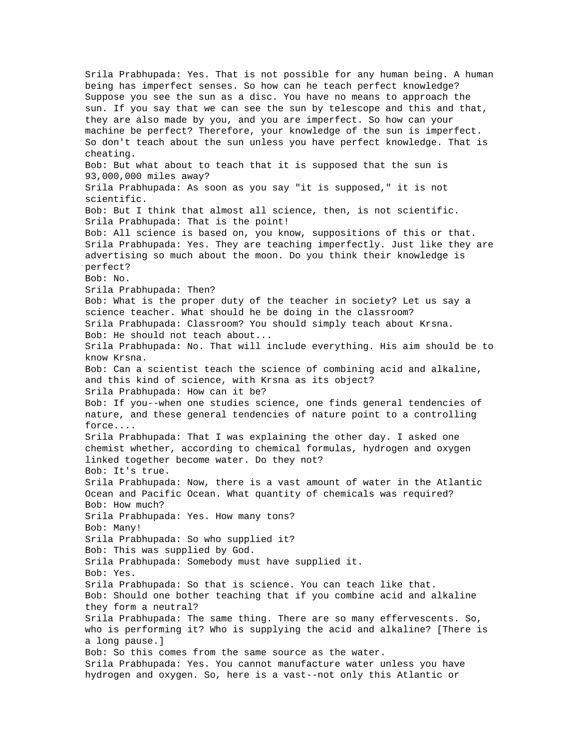Srila Prabhupada: Yes. That is not possible for any human being. A human being has imperfect senses. So how can he teach perfect knowledge? Suppose you see the sun as a disc. You have no means to approach the sun. If you say that we can see the sun by telescope and this and that, they are also made by you, and you are imperfect. So how can your machine be perfect? Therefore, your knowledge of the sun is imperfect. So don't teach about the sun unless you have perfect knowledge. That is cheating. Bob: But what about to teach that it is supposed that the sun is 93,000,000 miles away? Srila Prabhupada: As soon as you say "it is supposed," it is not scientific. Bob: But I think that almost all science, then, is not scientific. Srila Prabhupada: That is the point! Bob: All science is based on, you know, suppositions of this or that. Srila Prabhupada: Yes. They are teaching imperfectly. Just like they are advertising so much about the moon. Do you think their knowledge is perfect? Bob: No. Srila Prabhupada: Then? Bob: What is the proper duty of the teacher in society? Let us say a science teacher. What should he be doing in the classroom? Srila Prabhupada: Classroom? You should simply teach about Krsna. Bob: He should not teach about... Srila Prabhupada: No. That will include everything. His aim should be to know Krsna. Bob: Can a scientist teach the science of combining acid and alkaline, and this kind of science, with Krsna as its object? Srila Prabhupada: How can it be? Bob: If you--when one studies science, one finds general tendencies of nature, and these general tendencies of nature point to a controlling force.... Srila Prabhupada: That I was explaining the other day. I asked one chemist whether, according to chemical formulas, hydrogen and oxygen linked together become water. Do they not? Bob: It's true. Srila Prabhupada: Now, there is a vast amount of water in the Atlantic Ocean and Pacific Ocean. What quantity of chemicals was required? Bob: How much? Srila Prabhupada: Yes. How many tons? Bob: Many! Srila Prabhupada: So who supplied it? Bob: This was supplied by God. Srila Prabhupada: Somebody must have supplied it. Bob: Yes. Srila Prabhupada: So that is science. You can teach like that. Bob: Should one bother teaching that if you combine acid and alkaline they form a neutral? Srila Prabhupada: The same thing. There are so many effervescents. So, who is performing it? Who is supplying the acid and alkaline? [There is a long pause.] Bob: So this comes from the same source as the water. Srila Prabhupada: Yes. You cannot manufacture water unless you have hydrogen and oxygen. So, here is a vast--not only this Atlantic or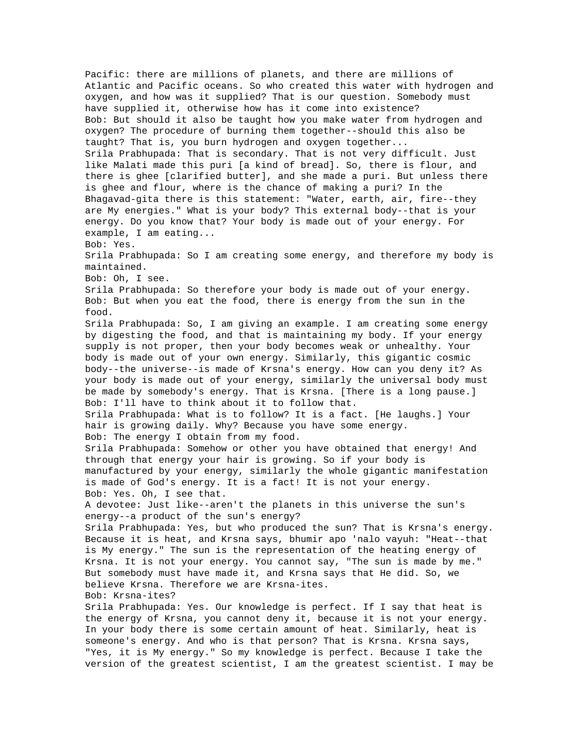Pacific: there are millions of planets, and there are millions of Atlantic and Pacific oceans. So who created this water with hydrogen and oxygen, and how was it supplied? That is our question. Somebody must have supplied it, otherwise how has it come into existence? Bob: But should it also be taught how you make water from hydrogen and oxygen? The procedure of burning them together--should this also be taught? That is, you burn hydrogen and oxygen together... Srila Prabhupada: That is secondary. That is not very difficult. Just like Malati made this puri [a kind of bread]. So, there is flour, and there is ghee [clarified butter], and she made a puri. But unless there is ghee and flour, where is the chance of making a puri? In the Bhagavad-gita there is this statement: "Water, earth, air, fire--they are My energies." What is your body? This external body--that is your energy. Do you know that? Your body is made out of your energy. For example, I am eating... Bob: Yes. Srila Prabhupada: So I am creating some energy, and therefore my body is maintained. Bob: Oh, I see. Srila Prabhupada: So therefore your body is made out of your energy. Bob: But when you eat the food, there is energy from the sun in the food. Srila Prabhupada: So, I am giving an example. I am creating some energy by digesting the food, and that is maintaining my body. If your energy supply is not proper, then your body becomes weak or unhealthy. Your body is made out of your own energy. Similarly, this gigantic cosmic body--the universe--is made of Krsna's energy. How can you deny it? As your body is made out of your energy, similarly the universal body must be made by somebody's energy. That is Krsna. [There is a long pause.] Bob: I'll have to think about it to follow that. Srila Prabhupada: What is to follow? It is a fact. [He laughs.] Your hair is growing daily. Why? Because you have some energy. Bob: The energy I obtain from my food. Srila Prabhupada: Somehow or other you have obtained that energy! And through that energy your hair is growing. So if your body is manufactured by your energy, similarly the whole gigantic manifestation is made of God's energy. It is a fact! It is not your energy. Bob: Yes. Oh, I see that. A devotee: Just like--aren't the planets in this universe the sun's energy--a product of the sun's energy? Srila Prabhupada: Yes, but who produced the sun? That is Krsna's energy. Because it is heat, and Krsna says, bhumir apo 'nalo vayuh: "Heat--that is My energy." The sun is the representation of the heating energy of Krsna. It is not your energy. You cannot say, "The sun is made by me." But somebody must have made it, and Krsna says that He did. So, we believe Krsna. Therefore we are Krsna-ites. Bob: Krsna-ites? Srila Prabhupada: Yes. Our knowledge is perfect. If I say that heat is the energy of Krsna, you cannot deny it, because it is not your energy. In your body there is some certain amount of heat. Similarly, heat is someone's energy. And who is that person? That is Krsna. Krsna says, "Yes, it is My energy." So my knowledge is perfect. Because I take the version of the greatest scientist, I am the greatest scientist. I may be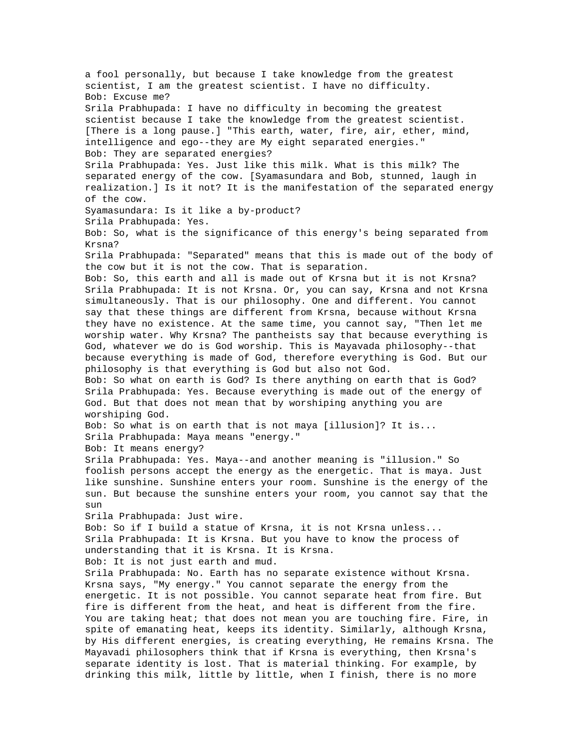a fool personally, but because I take knowledge from the greatest scientist, I am the greatest scientist. I have no difficulty. Bob: Excuse me? Srila Prabhupada: I have no difficulty in becoming the greatest scientist because I take the knowledge from the greatest scientist. [There is a long pause.] "This earth, water, fire, air, ether, mind, intelligence and ego--they are My eight separated energies." Bob: They are separated energies? Srila Prabhupada: Yes. Just like this milk. What is this milk? The separated energy of the cow. [Syamasundara and Bob, stunned, laugh in realization.] Is it not? It is the manifestation of the separated energy of the cow. Syamasundara: Is it like a by-product? Srila Prabhupada: Yes. Bob: So, what is the significance of this energy's being separated from Krsna? Srila Prabhupada: "Separated" means that this is made out of the body of the cow but it is not the cow. That is separation. Bob: So, this earth and all is made out of Krsna but it is not Krsna? Srila Prabhupada: It is not Krsna. Or, you can say, Krsna and not Krsna simultaneously. That is our philosophy. One and different. You cannot say that these things are different from Krsna, because without Krsna they have no existence. At the same time, you cannot say, "Then let me worship water. Why Krsna? The pantheists say that because everything is God, whatever we do is God worship. This is Mayavada philosophy--that because everything is made of God, therefore everything is God. But our philosophy is that everything is God but also not God. Bob: So what on earth is God? Is there anything on earth that is God? Srila Prabhupada: Yes. Because everything is made out of the energy of God. But that does not mean that by worshiping anything you are worshiping God. Bob: So what is on earth that is not maya [illusion]? It is... Srila Prabhupada: Maya means "energy." Bob: It means energy? Srila Prabhupada: Yes. Maya--and another meaning is "illusion." So foolish persons accept the energy as the energetic. That is maya. Just like sunshine. Sunshine enters your room. Sunshine is the energy of the sun. But because the sunshine enters your room, you cannot say that the sun Srila Prabhupada: Just wire. Bob: So if I build a statue of Krsna, it is not Krsna unless... Srila Prabhupada: It is Krsna. But you have to know the process of understanding that it is Krsna. It is Krsna. Bob: It is not just earth and mud. Srila Prabhupada: No. Earth has no separate existence without Krsna. Krsna says, "My energy." You cannot separate the energy from the energetic. It is not possible. You cannot separate heat from fire. But fire is different from the heat, and heat is different from the fire. You are taking heat; that does not mean you are touching fire. Fire, in spite of emanating heat, keeps its identity. Similarly, although Krsna, by His different energies, is creating everything, He remains Krsna. The Mayavadi philosophers think that if Krsna is everything, then Krsna's separate identity is lost. That is material thinking. For example, by drinking this milk, little by little, when I finish, there is no more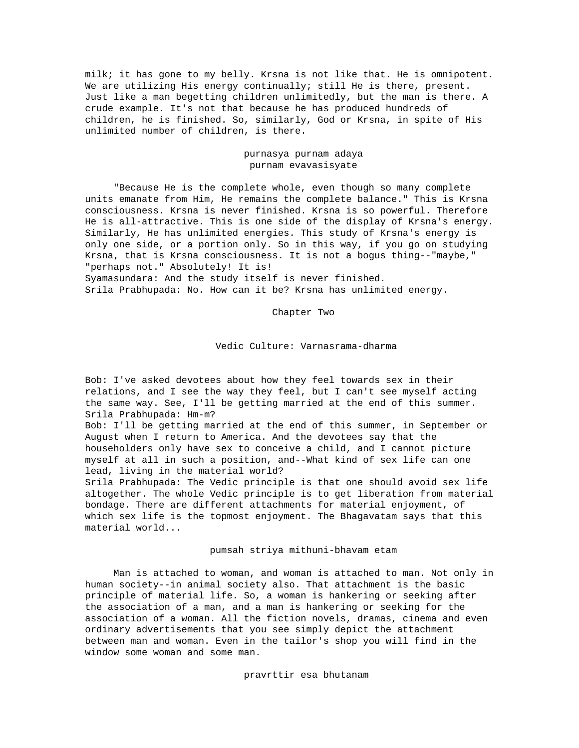milk; it has gone to my belly. Krsna is not like that. He is omnipotent. We are utilizing His energy continually; still He is there, present. Just like a man begetting children unlimitedly, but the man is there. A crude example. It's not that because he has produced hundreds of children, he is finished. So, similarly, God or Krsna, in spite of His unlimited number of children, is there.

## purnasya purnam adaya purnam evavasisyate

 "Because He is the complete whole, even though so many complete units emanate from Him, He remains the complete balance." This is Krsna consciousness. Krsna is never finished. Krsna is so powerful. Therefore He is all-attractive. This is one side of the display of Krsna's energy. Similarly, He has unlimited energies. This study of Krsna's energy is only one side, or a portion only. So in this way, if you go on studying Krsna, that is Krsna consciousness. It is not a bogus thing--"maybe," "perhaps not." Absolutely! It is! Syamasundara: And the study itself is never finished.

Srila Prabhupada: No. How can it be? Krsna has unlimited energy.

Chapter Two

Vedic Culture: Varnasrama-dharma

Bob: I've asked devotees about how they feel towards sex in their relations, and I see the way they feel, but I can't see myself acting the same way. See, I'll be getting married at the end of this summer. Srila Prabhupada: Hm-m?

Bob: I'll be getting married at the end of this summer, in September or August when I return to America. And the devotees say that the householders only have sex to conceive a child, and I cannot picture myself at all in such a position, and--What kind of sex life can one lead, living in the material world?

Srila Prabhupada: The Vedic principle is that one should avoid sex life altogether. The whole Vedic principle is to get liberation from material bondage. There are different attachments for material enjoyment, of which sex life is the topmost enjoyment. The Bhagavatam says that this material world...

### pumsah striya mithuni-bhavam etam

 Man is attached to woman, and woman is attached to man. Not only in human society--in animal society also. That attachment is the basic principle of material life. So, a woman is hankering or seeking after the association of a man, and a man is hankering or seeking for the association of a woman. All the fiction novels, dramas, cinema and even ordinary advertisements that you see simply depict the attachment between man and woman. Even in the tailor's shop you will find in the window some woman and some man.

pravrttir esa bhutanam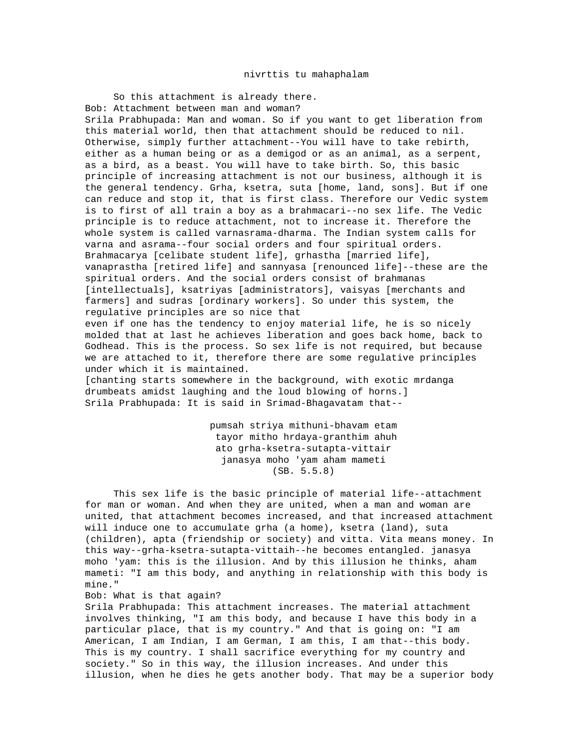#### nivrttis tu mahaphalam

 So this attachment is already there. Bob: Attachment between man and woman? Srila Prabhupada: Man and woman. So if you want to get liberation from this material world, then that attachment should be reduced to nil. Otherwise, simply further attachment--You will have to take rebirth, either as a human being or as a demigod or as an animal, as a serpent, as a bird, as a beast. You will have to take birth. So, this basic principle of increasing attachment is not our business, although it is the general tendency. Grha, ksetra, suta [home, land, sons]. But if one can reduce and stop it, that is first class. Therefore our Vedic system is to first of all train a boy as a brahmacari--no sex life. The Vedic principle is to reduce attachment, not to increase it. Therefore the whole system is called varnasrama-dharma. The Indian system calls for varna and asrama--four social orders and four spiritual orders. Brahmacarya [celibate student life], grhastha [married life], vanaprastha [retired life] and sannyasa [renounced life]--these are the spiritual orders. And the social orders consist of brahmanas [intellectuals], ksatriyas [administrators], vaisyas [merchants and farmers] and sudras [ordinary workers]. So under this system, the regulative principles are so nice that even if one has the tendency to enjoy material life, he is so nicely molded that at last he achieves liberation and goes back home, back to Godhead. This is the process. So sex life is not required, but because we are attached to it, therefore there are some regulative principles under which it is maintained.

[chanting starts somewhere in the background, with exotic mrdanga drumbeats amidst laughing and the loud blowing of horns.] Srila Prabhupada: It is said in Srimad-Bhagavatam that--

> pumsah striya mithuni-bhavam etam tayor mitho hrdaya-granthim ahuh ato grha-ksetra-sutapta-vittair janasya moho 'yam aham mameti (SB. 5.5.8)

 This sex life is the basic principle of material life--attachment for man or woman. And when they are united, when a man and woman are united, that attachment becomes increased, and that increased attachment will induce one to accumulate grha (a home), ksetra (land), suta (children), apta (friendship or society) and vitta. Vita means money. In this way--grha-ksetra-sutapta-vittaih--he becomes entangled. janasya moho 'yam: this is the illusion. And by this illusion he thinks, aham mameti: "I am this body, and anything in relationship with this body is mine."

Bob: What is that again?

Srila Prabhupada: This attachment increases. The material attachment involves thinking, "I am this body, and because I have this body in a particular place, that is my country." And that is going on: "I am American, I am Indian, I am German, I am this, I am that--this body. This is my country. I shall sacrifice everything for my country and society." So in this way, the illusion increases. And under this illusion, when he dies he gets another body. That may be a superior body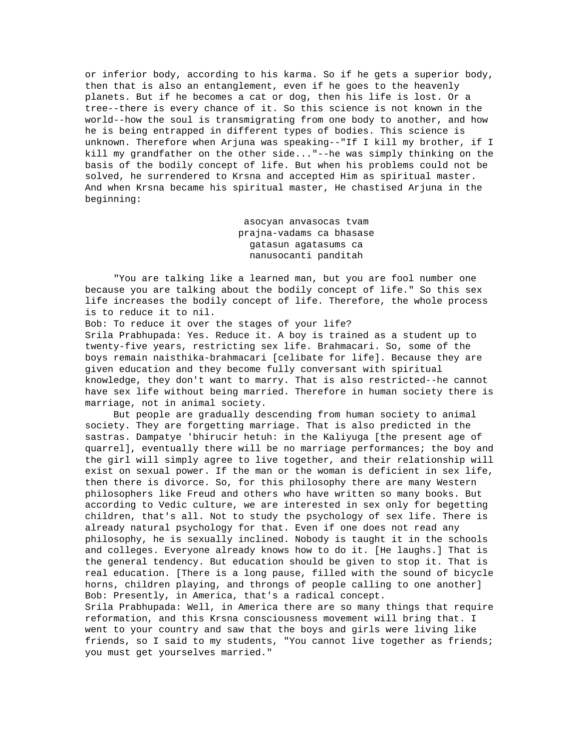or inferior body, according to his karma. So if he gets a superior body, then that is also an entanglement, even if he goes to the heavenly planets. But if he becomes a cat or dog, then his life is lost. Or a tree--there is every chance of it. So this science is not known in the world--how the soul is transmigrating from one body to another, and how he is being entrapped in different types of bodies. This science is unknown. Therefore when Arjuna was speaking--"If I kill my brother, if I kill my grandfather on the other side..."--he was simply thinking on the basis of the bodily concept of life. But when his problems could not be solved, he surrendered to Krsna and accepted Him as spiritual master. And when Krsna became his spiritual master, He chastised Arjuna in the beginning:

> asocyan anvasocas tvam prajna-vadams ca bhasase gatasun agatasums ca nanusocanti panditah

 "You are talking like a learned man, but you are fool number one because you are talking about the bodily concept of life." So this sex life increases the bodily concept of life. Therefore, the whole process is to reduce it to nil.

Bob: To reduce it over the stages of your life? Srila Prabhupada: Yes. Reduce it. A boy is trained as a student up to twenty-five years, restricting sex life. Brahmacari. So, some of the boys remain naisthika-brahmacari [celibate for life]. Because they are given education and they become fully conversant with spiritual knowledge, they don't want to marry. That is also restricted--he cannot have sex life without being married. Therefore in human society there is marriage, not in animal society.

 But people are gradually descending from human society to animal society. They are forgetting marriage. That is also predicted in the sastras. Dampatye 'bhirucir hetuh: in the Kaliyuga [the present age of quarrel], eventually there will be no marriage performances; the boy and the girl will simply agree to live together, and their relationship will exist on sexual power. If the man or the woman is deficient in sex life, then there is divorce. So, for this philosophy there are many Western philosophers like Freud and others who have written so many books. But according to Vedic culture, we are interested in sex only for begetting children, that's all. Not to study the psychology of sex life. There is already natural psychology for that. Even if one does not read any philosophy, he is sexually inclined. Nobody is taught it in the schools and colleges. Everyone already knows how to do it. [He laughs.] That is the general tendency. But education should be given to stop it. That is real education. [There is a long pause, filled with the sound of bicycle horns, children playing, and throngs of people calling to one another] Bob: Presently, in America, that's a radical concept. Srila Prabhupada: Well, in America there are so many things that require reformation, and this Krsna consciousness movement will bring that. I went to your country and saw that the boys and girls were living like friends, so I said to my students, "You cannot live together as friends; you must get yourselves married."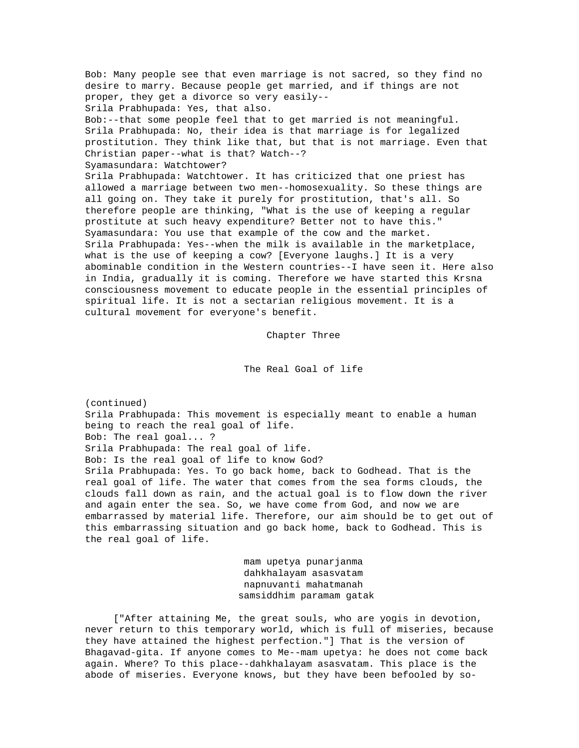Bob: Many people see that even marriage is not sacred, so they find no desire to marry. Because people get married, and if things are not proper, they get a divorce so very easily-- Srila Prabhupada: Yes, that also. Bob:--that some people feel that to get married is not meaningful. Srila Prabhupada: No, their idea is that marriage is for legalized prostitution. They think like that, but that is not marriage. Even that Christian paper--what is that? Watch--? Syamasundara: Watchtower? Srila Prabhupada: Watchtower. It has criticized that one priest has allowed a marriage between two men--homosexuality. So these things are all going on. They take it purely for prostitution, that's all. So therefore people are thinking, "What is the use of keeping a regular prostitute at such heavy expenditure? Better not to have this." Syamasundara: You use that example of the cow and the market. Srila Prabhupada: Yes--when the milk is available in the marketplace, what is the use of keeping a cow? [Everyone laughs.] It is a very abominable condition in the Western countries--I have seen it. Here also in India, gradually it is coming. Therefore we have started this Krsna consciousness movement to educate people in the essential principles of spiritual life. It is not a sectarian religious movement. It is a cultural movement for everyone's benefit.

Chapter Three

The Real Goal of life

(continued) Srila Prabhupada: This movement is especially meant to enable a human being to reach the real goal of life. Bob: The real goal... ? Srila Prabhupada: The real goal of life. Bob: Is the real goal of life to know God? Srila Prabhupada: Yes. To go back home, back to Godhead. That is the real goal of life. The water that comes from the sea forms clouds, the clouds fall down as rain, and the actual goal is to flow down the river and again enter the sea. So, we have come from God, and now we are embarrassed by material life. Therefore, our aim should be to get out of this embarrassing situation and go back home, back to Godhead. This is the real goal of life.

> mam upetya punarjanma dahkhalayam asasvatam napnuvanti mahatmanah samsiddhim paramam gatak

 ["After attaining Me, the great souls, who are yogis in devotion, never return to this temporary world, which is full of miseries, because they have attained the highest perfection."] That is the version of Bhagavad-gita. If anyone comes to Me--mam upetya: he does not come back again. Where? To this place--dahkhalayam asasvatam. This place is the abode of miseries. Everyone knows, but they have been befooled by so-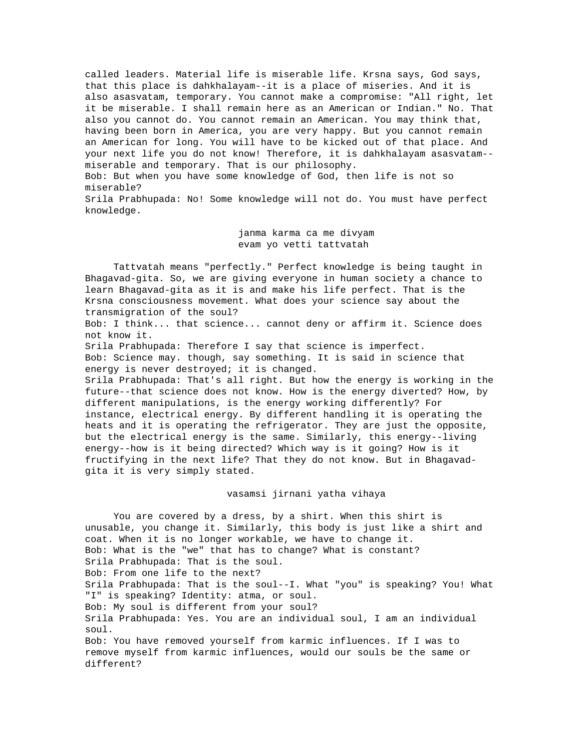called leaders. Material life is miserable life. Krsna says, God says, that this place is dahkhalayam--it is a place of miseries. And it is also asasvatam, temporary. You cannot make a compromise: "All right, let it be miserable. I shall remain here as an American or Indian." No. That also you cannot do. You cannot remain an American. You may think that, having been born in America, you are very happy. But you cannot remain an American for long. You will have to be kicked out of that place. And your next life you do not know! Therefore, it is dahkhalayam asasvatam- miserable and temporary. That is our philosophy. Bob: But when you have some knowledge of God, then life is not so miserable? Srila Prabhupada: No! Some knowledge will not do. You must have perfect knowledge.

> janma karma ca me divyam evam yo vetti tattvatah

 Tattvatah means "perfectly." Perfect knowledge is being taught in Bhagavad-gita. So, we are giving everyone in human society a chance to learn Bhagavad-gita as it is and make his life perfect. That is the Krsna consciousness movement. What does your science say about the transmigration of the soul? Bob: I think... that science... cannot deny or affirm it. Science does not know it. Srila Prabhupada: Therefore I say that science is imperfect. Bob: Science may. though, say something. It is said in science that energy is never destroyed; it is changed. Srila Prabhupada: That's all right. But how the energy is working in the future--that science does not know. How is the energy diverted? How, by different manipulations, is the energy working differently? For instance, electrical energy. By different handling it is operating the heats and it is operating the refrigerator. They are just the opposite, but the electrical energy is the same. Similarly, this energy--living energy--how is it being directed? Which way is it going? How is it fructifying in the next life? That they do not know. But in Bhagavadgita it is very simply stated.

## vasamsi jirnani yatha vihaya

 You are covered by a dress, by a shirt. When this shirt is unusable, you change it. Similarly, this body is just like a shirt and coat. When it is no longer workable, we have to change it. Bob: What is the "we" that has to change? What is constant? Srila Prabhupada: That is the soul. Bob: From one life to the next? Srila Prabhupada: That is the soul--I. What "you" is speaking? You! What "I" is speaking? Identity: atma, or soul. Bob: My soul is different from your soul? Srila Prabhupada: Yes. You are an individual soul, I am an individual soul. Bob: You have removed yourself from karmic influences. If I was to remove myself from karmic influences, would our souls be the same or different?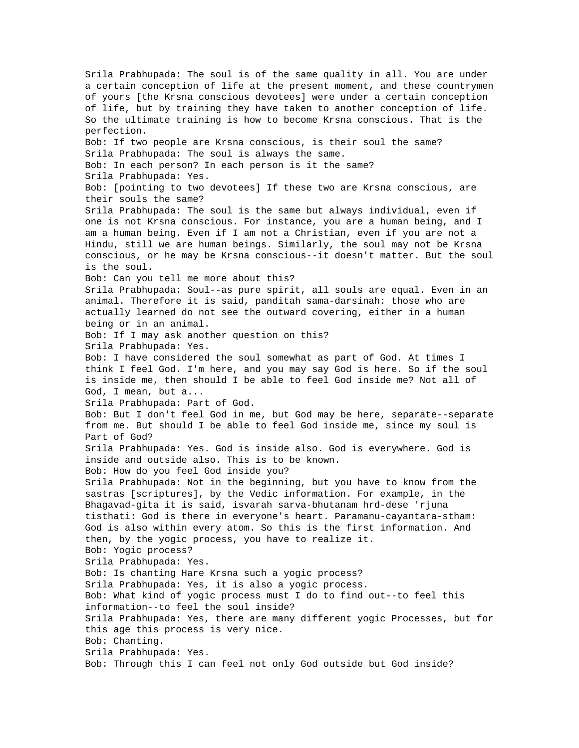Srila Prabhupada: The soul is of the same quality in all. You are under a certain conception of life at the present moment, and these countrymen of yours [the Krsna conscious devotees] were under a certain conception of life, but by training they have taken to another conception of life. So the ultimate training is how to become Krsna conscious. That is the perfection. Bob: If two people are Krsna conscious, is their soul the same? Srila Prabhupada: The soul is always the same. Bob: In each person? In each person is it the same? Srila Prabhupada: Yes. Bob: [pointing to two devotees] If these two are Krsna conscious, are their souls the same? Srila Prabhupada: The soul is the same but always individual, even if one is not Krsna conscious. For instance, you are a human being, and I am a human being. Even if I am not a Christian, even if you are not a Hindu, still we are human beings. Similarly, the soul may not be Krsna conscious, or he may be Krsna conscious--it doesn't matter. But the soul is the soul. Bob: Can you tell me more about this? Srila Prabhupada: Soul--as pure spirit, all souls are equal. Even in an animal. Therefore it is said, panditah sama-darsinah: those who are actually learned do not see the outward covering, either in a human being or in an animal. Bob: If I may ask another question on this? Srila Prabhupada: Yes. Bob: I have considered the soul somewhat as part of God. At times I think I feel God. I'm here, and you may say God is here. So if the soul is inside me, then should I be able to feel God inside me? Not all of God, I mean, but a... Srila Prabhupada: Part of God. Bob: But I don't feel God in me, but God may be here, separate--separate from me. But should I be able to feel God inside me, since my soul is Part of God? Srila Prabhupada: Yes. God is inside also. God is everywhere. God is inside and outside also. This is to be known. Bob: How do you feel God inside you? Srila Prabhupada: Not in the beginning, but you have to know from the sastras [scriptures], by the Vedic information. For example, in the Bhagavad-gita it is said, isvarah sarva-bhutanam hrd-dese 'rjuna tisthati: God is there in everyone's heart. Paramanu-cayantara-stham: God is also within every atom. So this is the first information. And then, by the yogic process, you have to realize it. Bob: Yogic process? Srila Prabhupada: Yes. Bob: Is chanting Hare Krsna such a yogic process? Srila Prabhupada: Yes, it is also a yogic process. Bob: What kind of yogic process must I do to find out--to feel this information--to feel the soul inside? Srila Prabhupada: Yes, there are many different yogic Processes, but for this age this process is very nice. Bob: Chanting. Srila Prabhupada: Yes. Bob: Through this I can feel not only God outside but God inside?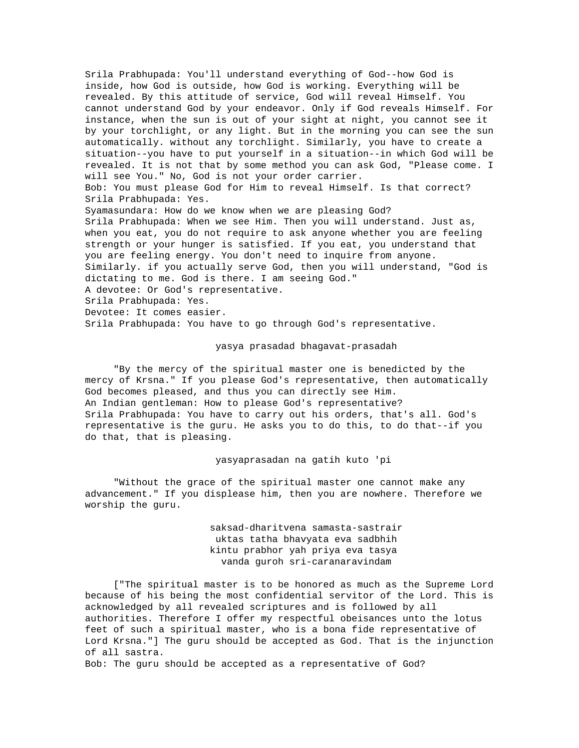Srila Prabhupada: You'll understand everything of God--how God is inside, how God is outside, how God is working. Everything will be revealed. By this attitude of service, God will reveal Himself. You cannot understand God by your endeavor. Only if God reveals Himself. For instance, when the sun is out of your sight at night, you cannot see it by your torchlight, or any light. But in the morning you can see the sun automatically. without any torchlight. Similarly, you have to create a situation--you have to put yourself in a situation--in which God will be revealed. It is not that by some method you can ask God, "Please come. I will see You." No, God is not your order carrier. Bob: You must please God for Him to reveal Himself. Is that correct? Srila Prabhupada: Yes. Syamasundara: How do we know when we are pleasing God? Srila Prabhupada: When we see Him. Then you will understand. Just as, when you eat, you do not require to ask anyone whether you are feeling strength or your hunger is satisfied. If you eat, you understand that you are feeling energy. You don't need to inquire from anyone. Similarly. if you actually serve God, then you will understand, "God is dictating to me. God is there. I am seeing God." A devotee: Or God's representative. Srila Prabhupada: Yes. Devotee: It comes easier. Srila Prabhupada: You have to go through God's representative.

## yasya prasadad bhagavat-prasadah

 "By the mercy of the spiritual master one is benedicted by the mercy of Krsna." If you please God's representative, then automatically God becomes pleased, and thus you can directly see Him. An Indian gentleman: How to please God's representative? Srila Prabhupada: You have to carry out his orders, that's all. God's representative is the guru. He asks you to do this, to do that--if you do that, that is pleasing.

### yasyaprasadan na gatih kuto 'pi

 "Without the grace of the spiritual master one cannot make any advancement." If you displease him, then you are nowhere. Therefore we worship the guru.

> saksad-dharitvena samasta-sastrair uktas tatha bhavyata eva sadbhih kintu prabhor yah priya eva tasya vanda guroh sri-caranaravindam

 ["The spiritual master is to be honored as much as the Supreme Lord because of his being the most confidential servitor of the Lord. This is acknowledged by all revealed scriptures and is followed by all authorities. Therefore I offer my respectful obeisances unto the lotus feet of such a spiritual master, who is a bona fide representative of Lord Krsna."] The guru should be accepted as God. That is the injunction of all sastra.

Bob: The guru should be accepted as a representative of God?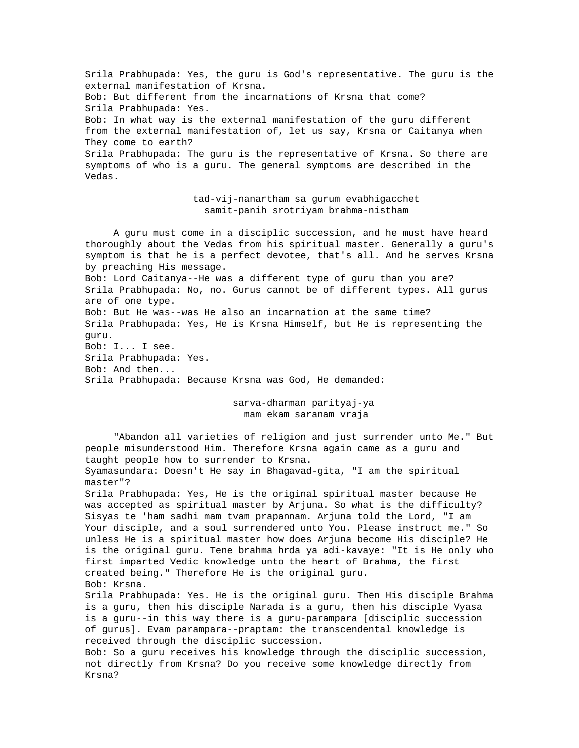Srila Prabhupada: Yes, the guru is God's representative. The guru is the external manifestation of Krsna. Bob: But different from the incarnations of Krsna that come? Srila Prabhupada: Yes. Bob: In what way is the external manifestation of the guru different from the external manifestation of, let us say, Krsna or Caitanya when They come to earth? Srila Prabhupada: The guru is the representative of Krsna. So there are symptoms of who is a guru. The general symptoms are described in the Vedas.

> tad-vij-nanartham sa gurum evabhigacchet samit-panih srotriyam brahma-nistham

 A guru must come in a disciplic succession, and he must have heard thoroughly about the Vedas from his spiritual master. Generally a guru's symptom is that he is a perfect devotee, that's all. And he serves Krsna by preaching His message. Bob: Lord Caitanya--He was a different type of guru than you are? Srila Prabhupada: No, no. Gurus cannot be of different types. All gurus are of one type. Bob: But He was--was He also an incarnation at the same time? Srila Prabhupada: Yes, He is Krsna Himself, but He is representing the guru. Bob: I... I see. Srila Prabhupada: Yes. Bob: And then... Srila Prabhupada: Because Krsna was God, He demanded:

> sarva-dharman parityaj-ya mam ekam saranam vraja

 "Abandon all varieties of religion and just surrender unto Me." But people misunderstood Him. Therefore Krsna again came as a guru and taught people how to surrender to Krsna. Syamasundara: Doesn't He say in Bhagavad-gita, "I am the spiritual master"? Srila Prabhupada: Yes, He is the original spiritual master because He was accepted as spiritual master by Arjuna. So what is the difficulty? Sisyas te 'ham sadhi mam tvam prapannam. Arjuna told the Lord, "I am Your disciple, and a soul surrendered unto You. Please instruct me." So unless He is a spiritual master how does Arjuna become His disciple? He is the original guru. Tene brahma hrda ya adi-kavaye: "It is He only who first imparted Vedic knowledge unto the heart of Brahma, the first created being." Therefore He is the original guru. Bob: Krsna. Srila Prabhupada: Yes. He is the original guru. Then His disciple Brahma is a guru, then his disciple Narada is a guru, then his disciple Vyasa is a guru--in this way there is a guru-parampara [disciplic succession of gurus]. Evam parampara--praptam: the transcendental knowledge is received through the disciplic succession. Bob: So a guru receives his knowledge through the disciplic succession, not directly from Krsna? Do you receive some knowledge directly from

Krsna?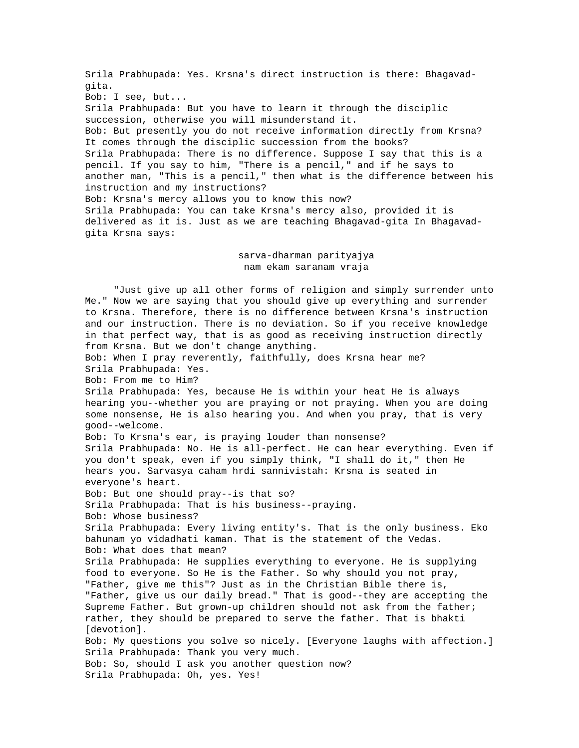Srila Prabhupada: Yes. Krsna's direct instruction is there: Bhagavadgita. Bob: I see, but... Srila Prabhupada: But you have to learn it through the disciplic succession, otherwise you will misunderstand it. Bob: But presently you do not receive information directly from Krsna? It comes through the disciplic succession from the books? Srila Prabhupada: There is no difference. Suppose I say that this is a pencil. If you say to him, "There is a pencil," and if he says to another man, "This is a pencil," then what is the difference between his instruction and my instructions? Bob: Krsna's mercy allows you to know this now? Srila Prabhupada: You can take Krsna's mercy also, provided it is delivered as it is. Just as we are teaching Bhagavad-gita In Bhagavadgita Krsna says: sarva-dharman parityajya

nam ekam saranam vraja

 "Just give up all other forms of religion and simply surrender unto Me." Now we are saying that you should give up everything and surrender to Krsna. Therefore, there is no difference between Krsna's instruction and our instruction. There is no deviation. So if you receive knowledge in that perfect way, that is as good as receiving instruction directly from Krsna. But we don't change anything. Bob: When I pray reverently, faithfully, does Krsna hear me? Srila Prabhupada: Yes. Bob: From me to Him? Srila Prabhupada: Yes, because He is within your heat He is always hearing you--whether you are praying or not praying. When you are doing some nonsense, He is also hearing you. And when you pray, that is very good--welcome. Bob: To Krsna's ear, is praying louder than nonsense? Srila Prabhupada: No. He is all-perfect. He can hear everything. Even if you don't speak, even if you simply think, "I shall do it," then He hears you. Sarvasya caham hrdi sannivistah: Krsna is seated in everyone's heart. Bob: But one should pray--is that so? Srila Prabhupada: That is his business--praying. Bob: Whose business? Srila Prabhupada: Every living entity's. That is the only business. Eko bahunam yo vidadhati kaman. That is the statement of the Vedas. Bob: What does that mean? Srila Prabhupada: He supplies everything to everyone. He is supplying food to everyone. So He is the Father. So why should you not pray, "Father, give me this"? Just as in the Christian Bible there is, "Father, give us our daily bread." That is good--they are accepting the Supreme Father. But grown-up children should not ask from the father; rather, they should be prepared to serve the father. That is bhakti [devotion]. Bob: My questions you solve so nicely. [Everyone laughs with affection.] Srila Prabhupada: Thank you very much. Bob: So, should I ask you another question now? Srila Prabhupada: Oh, yes. Yes!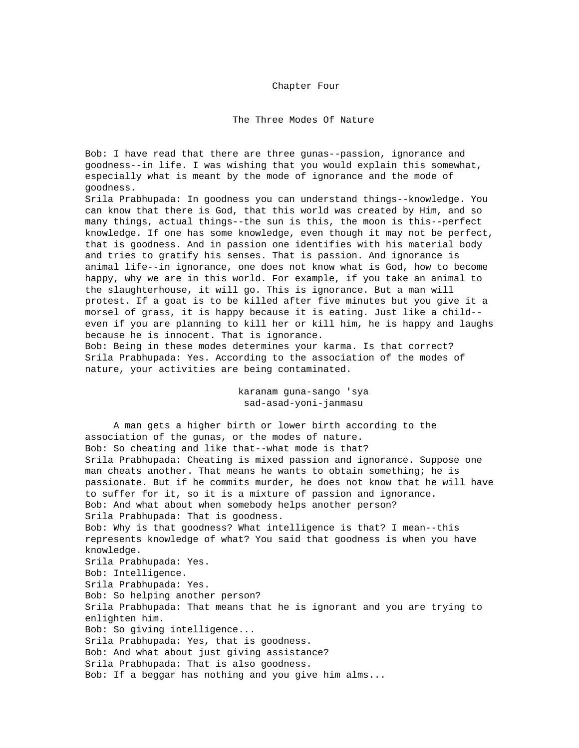Chapter Four

The Three Modes Of Nature

Bob: I have read that there are three gunas--passion, ignorance and goodness--in life. I was wishing that you would explain this somewhat, especially what is meant by the mode of ignorance and the mode of goodness.

Srila Prabhupada: In goodness you can understand things--knowledge. You can know that there is God, that this world was created by Him, and so many things, actual things--the sun is this, the moon is this--perfect knowledge. If one has some knowledge, even though it may not be perfect, that is goodness. And in passion one identifies with his material body and tries to gratify his senses. That is passion. And ignorance is animal life--in ignorance, one does not know what is God, how to become happy, why we are in this world. For example, if you take an animal to the slaughterhouse, it will go. This is ignorance. But a man will protest. If a goat is to be killed after five minutes but you give it a morsel of grass, it is happy because it is eating. Just like a child- even if you are planning to kill her or kill him, he is happy and laughs because he is innocent. That is ignorance.

Bob: Being in these modes determines your karma. Is that correct? Srila Prabhupada: Yes. According to the association of the modes of nature, your activities are being contaminated.

> karanam guna-sango 'sya sad-asad-yoni-janmasu

 A man gets a higher birth or lower birth according to the association of the gunas, or the modes of nature. Bob: So cheating and like that--what mode is that? Srila Prabhupada: Cheating is mixed passion and ignorance. Suppose one man cheats another. That means he wants to obtain something; he is passionate. But if he commits murder, he does not know that he will have to suffer for it, so it is a mixture of passion and ignorance. Bob: And what about when somebody helps another person? Srila Prabhupada: That is goodness. Bob: Why is that goodness? What intelligence is that? I mean--this represents knowledge of what? You said that goodness is when you have knowledge. Srila Prabhupada: Yes. Bob: Intelligence. Srila Prabhupada: Yes. Bob: So helping another person? Srila Prabhupada: That means that he is ignorant and you are trying to enlighten him. Bob: So giving intelligence... Srila Prabhupada: Yes, that is goodness. Bob: And what about just giving assistance? Srila Prabhupada: That is also goodness. Bob: If a beggar has nothing and you give him alms...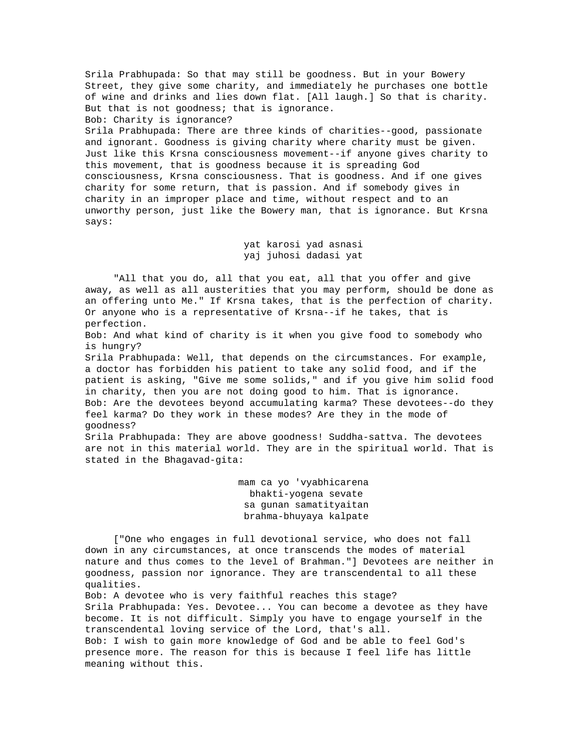Srila Prabhupada: So that may still be goodness. But in your Bowery Street, they give some charity, and immediately he purchases one bottle of wine and drinks and lies down flat. [All laugh.] So that is charity. But that is not goodness; that is ignorance. Bob: Charity is ignorance? Srila Prabhupada: There are three kinds of charities--good, passionate and ignorant. Goodness is giving charity where charity must be given. Just like this Krsna consciousness movement--if anyone gives charity to this movement, that is goodness because it is spreading God consciousness, Krsna consciousness. That is goodness. And if one gives charity for some return, that is passion. And if somebody gives in charity in an improper place and time, without respect and to an unworthy person, just like the Bowery man, that is ignorance. But Krsna says:

> yat karosi yad asnasi yaj juhosi dadasi yat

 "All that you do, all that you eat, all that you offer and give away, as well as all austerities that you may perform, should be done as an offering unto Me." If Krsna takes, that is the perfection of charity. Or anyone who is a representative of Krsna--if he takes, that is perfection.

Bob: And what kind of charity is it when you give food to somebody who is hungry?

Srila Prabhupada: Well, that depends on the circumstances. For example, a doctor has forbidden his patient to take any solid food, and if the patient is asking, "Give me some solids," and if you give him solid food in charity, then you are not doing good to him. That is ignorance. Bob: Are the devotees beyond accumulating karma? These devotees--do they feel karma? Do they work in these modes? Are they in the mode of goodness?

Srila Prabhupada: They are above goodness! Suddha-sattva. The devotees are not in this material world. They are in the spiritual world. That is stated in the Bhagavad-gita:

> mam ca yo 'vyabhicarena bhakti-yogena sevate sa gunan samatityaitan brahma-bhuyaya kalpate

 ["One who engages in full devotional service, who does not fall down in any circumstances, at once transcends the modes of material nature and thus comes to the level of Brahman."] Devotees are neither in goodness, passion nor ignorance. They are transcendental to all these qualities.

Bob: A devotee who is very faithful reaches this stage? Srila Prabhupada: Yes. Devotee... You can become a devotee as they have become. It is not difficult. Simply you have to engage yourself in the transcendental loving service of the Lord, that's all. Bob: I wish to gain more knowledge of God and be able to feel God's presence more. The reason for this is because I feel life has little meaning without this.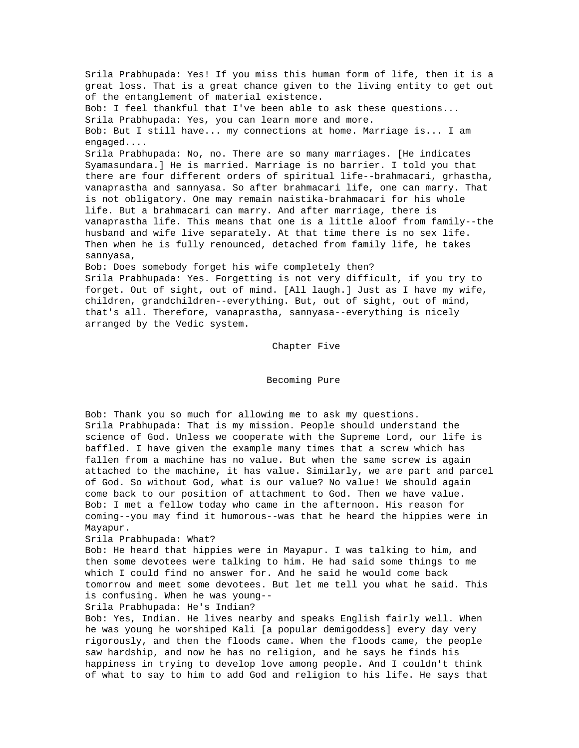Srila Prabhupada: Yes! If you miss this human form of life, then it is a great loss. That is a great chance given to the living entity to get out of the entanglement of material existence. Bob: I feel thankful that I've been able to ask these questions... Srila Prabhupada: Yes, you can learn more and more. Bob: But I still have... my connections at home. Marriage is... I am engaged.... Srila Prabhupada: No, no. There are so many marriages. [He indicates Syamasundara.] He is married. Marriage is no barrier. I told you that there are four different orders of spiritual life--brahmacari, grhastha, vanaprastha and sannyasa. So after brahmacari life, one can marry. That is not obligatory. One may remain naistika-brahmacari for his whole life. But a brahmacari can marry. And after marriage, there is vanaprastha life. This means that one is a little aloof from family--the husband and wife live separately. At that time there is no sex life. Then when he is fully renounced, detached from family life, he takes sannyasa, Bob: Does somebody forget his wife completely then? Srila Prabhupada: Yes. Forgetting is not very difficult, if you try to forget. Out of sight, out of mind. [All laugh.] Just as I have my wife, children, grandchildren--everything. But, out of sight, out of mind, that's all. Therefore, vanaprastha, sannyasa--everything is nicely

Chapter Five

Becoming Pure

Bob: Thank you so much for allowing me to ask my questions. Srila Prabhupada: That is my mission. People should understand the science of God. Unless we cooperate with the Supreme Lord, our life is baffled. I have given the example many times that a screw which has fallen from a machine has no value. But when the same screw is again attached to the machine, it has value. Similarly, we are part and parcel of God. So without God, what is our value? No value! We should again come back to our position of attachment to God. Then we have value. Bob: I met a fellow today who came in the afternoon. His reason for coming--you may find it humorous--was that he heard the hippies were in Mayapur.

### Srila Prabhupada: What?

arranged by the Vedic system.

Bob: He heard that hippies were in Mayapur. I was talking to him, and then some devotees were talking to him. He had said some things to me which I could find no answer for. And he said he would come back tomorrow and meet some devotees. But let me tell you what he said. This is confusing. When he was young--

Srila Prabhupada: He's Indian?

Bob: Yes, Indian. He lives nearby and speaks English fairly well. When he was young he worshiped Kali [a popular demigoddess] every day very rigorously, and then the floods came. When the floods came, the people saw hardship, and now he has no religion, and he says he finds his happiness in trying to develop love among people. And I couldn't think of what to say to him to add God and religion to his life. He says that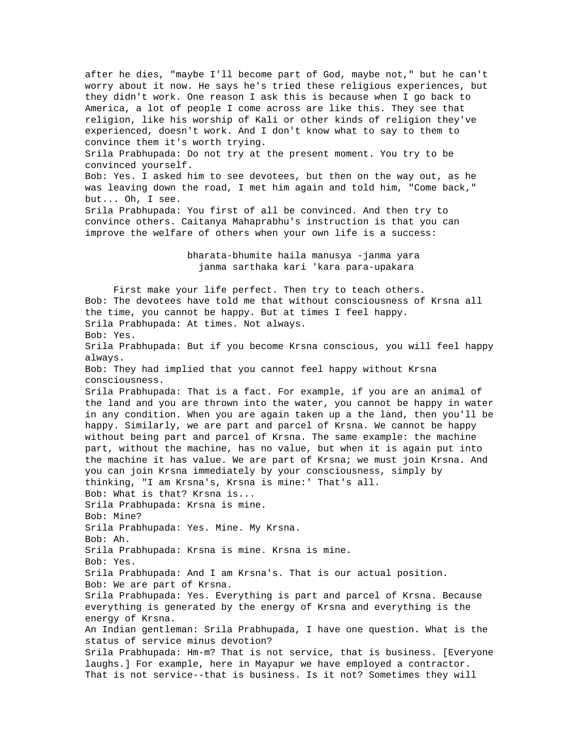after he dies, "maybe I'll become part of God, maybe not," but he can't worry about it now. He says he's tried these religious experiences, but they didn't work. One reason I ask this is because when I go back to America, a lot of people I come across are like this. They see that religion, like his worship of Kali or other kinds of religion they've experienced, doesn't work. And I don't know what to say to them to convince them it's worth trying. Srila Prabhupada: Do not try at the present moment. You try to be convinced yourself. Bob: Yes. I asked him to see devotees, but then on the way out, as he was leaving down the road, I met him again and told him, "Come back," but... Oh, I see. Srila Prabhupada: You first of all be convinced. And then try to convince others. Caitanya Mahaprabhu's instruction is that you can improve the welfare of others when your own life is a success: bharata-bhumite haila manusya -janma yara janma sarthaka kari 'kara para-upakara First make your life perfect. Then try to teach others. Bob: The devotees have told me that without consciousness of Krsna all the time, you cannot be happy. But at times I feel happy. Srila Prabhupada: At times. Not always. Bob: Yes. Srila Prabhupada: But if you become Krsna conscious, you will feel happy always. Bob: They had implied that you cannot feel happy without Krsna consciousness. Srila Prabhupada: That is a fact. For example, if you are an animal of the land and you are thrown into the water, you cannot be happy in water in any condition. When you are again taken up a the land, then you'll be happy. Similarly, we are part and parcel of Krsna. We cannot be happy without being part and parcel of Krsna. The same example: the machine part, without the machine, has no value, but when it is again put into the machine it has value. We are part of Krsna; we must join Krsna. And you can join Krsna immediately by your consciousness, simply by thinking, "I am Krsna's, Krsna is mine:' That's all. Bob: What is that? Krsna is... Srila Prabhupada: Krsna is mine. Bob: Mine? Srila Prabhupada: Yes. Mine. My Krsna. Bob: Ah. Srila Prabhupada: Krsna is mine. Krsna is mine. Bob: Yes. Srila Prabhupada: And I am Krsna's. That is our actual position. Bob: We are part of Krsna. Srila Prabhupada: Yes. Everything is part and parcel of Krsna. Because everything is generated by the energy of Krsna and everything is the energy of Krsna. An Indian gentleman: Srila Prabhupada, I have one question. What is the status of service minus devotion? Srila Prabhupada: Hm-m? That is not service, that is business. [Everyone laughs.] For example, here in Mayapur we have employed a contractor. That is not service--that is business. Is it not? Sometimes they will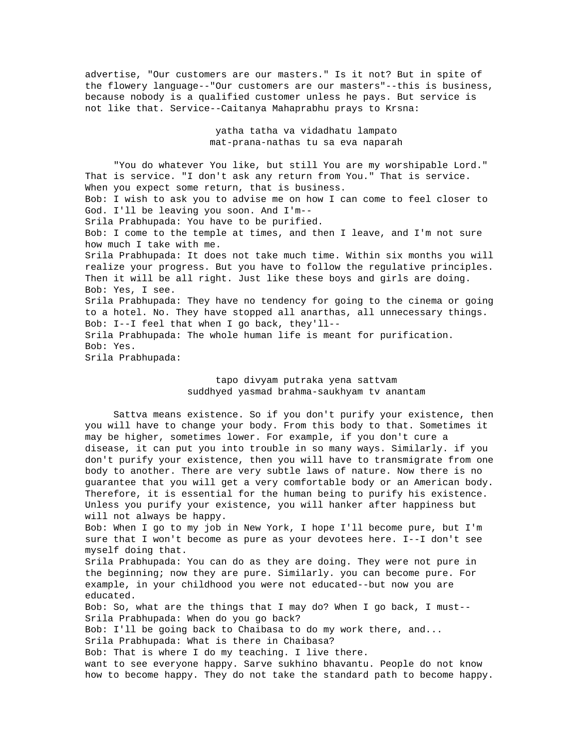advertise, "Our customers are our masters." Is it not? But in spite of the flowery language--"Our customers are our masters"--this is business, because nobody is a qualified customer unless he pays. But service is not like that. Service--Caitanya Mahaprabhu prays to Krsna:

> yatha tatha va vidadhatu lampato mat-prana-nathas tu sa eva naparah

 "You do whatever You like, but still You are my worshipable Lord." That is service. "I don't ask any return from You." That is service. When you expect some return, that is business. Bob: I wish to ask you to advise me on how I can come to feel closer to God. I'll be leaving you soon. And I'm-- Srila Prabhupada: You have to be purified. Bob: I come to the temple at times, and then I leave, and I'm not sure how much I take with me. Srila Prabhupada: It does not take much time. Within six months you will realize your progress. But you have to follow the regulative principles. Then it will be all right. Just like these boys and girls are doing. Bob: Yes, I see. Srila Prabhupada: They have no tendency for going to the cinema or going to a hotel. No. They have stopped all anarthas, all unnecessary things. Bob: I--I feel that when I go back, they'll-- Srila Prabhupada: The whole human life is meant for purification. Bob: Yes. Srila Prabhupada:

> tapo divyam putraka yena sattvam suddhyed yasmad brahma-saukhyam tv anantam

 Sattva means existence. So if you don't purify your existence, then you will have to change your body. From this body to that. Sometimes it may be higher, sometimes lower. For example, if you don't cure a disease, it can put you into trouble in so many ways. Similarly. if you don't purify your existence, then you will have to transmigrate from one body to another. There are very subtle laws of nature. Now there is no guarantee that you will get a very comfortable body or an American body. Therefore, it is essential for the human being to purify his existence. Unless you purify your existence, you will hanker after happiness but will not always be happy.

Bob: When I go to my job in New York, I hope I'll become pure, but I'm sure that I won't become as pure as your devotees here. I--I don't see myself doing that.

Srila Prabhupada: You can do as they are doing. They were not pure in the beginning; now they are pure. Similarly. you can become pure. For example, in your childhood you were not educated--but now you are educated.

Bob: So, what are the things that I may do? When I go back, I must-- Srila Prabhupada: When do you go back?

Bob: I'll be going back to Chaibasa to do my work there, and...

Srila Prabhupada: What is there in Chaibasa?

Bob: That is where I do my teaching. I live there.

want to see everyone happy. Sarve sukhino bhavantu. People do not know how to become happy. They do not take the standard path to become happy.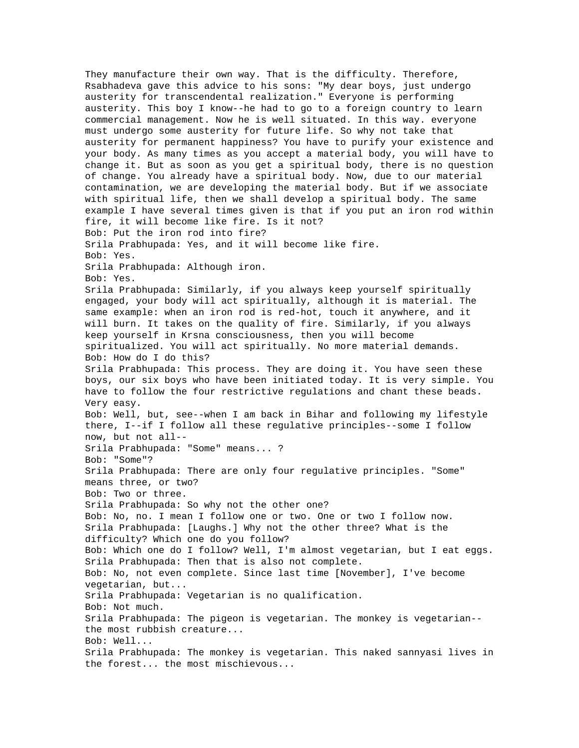They manufacture their own way. That is the difficulty. Therefore, Rsabhadeva gave this advice to his sons: "My dear boys, just undergo austerity for transcendental realization." Everyone is performing austerity. This boy I know--he had to go to a foreign country to learn commercial management. Now he is well situated. In this way. everyone must undergo some austerity for future life. So why not take that austerity for permanent happiness? You have to purify your existence and your body. As many times as you accept a material body, you will have to change it. But as soon as you get a spiritual body, there is no question of change. You already have a spiritual body. Now, due to our material contamination, we are developing the material body. But if we associate with spiritual life, then we shall develop a spiritual body. The same example I have several times given is that if you put an iron rod within fire, it will become like fire. Is it not? Bob: Put the iron rod into fire? Srila Prabhupada: Yes, and it will become like fire. Bob: Yes. Srila Prabhupada: Although iron. Bob: Yes. Srila Prabhupada: Similarly, if you always keep yourself spiritually engaged, your body will act spiritually, although it is material. The same example: when an iron rod is red-hot, touch it anywhere, and it will burn. It takes on the quality of fire. Similarly, if you always keep yourself in Krsna consciousness, then you will become spiritualized. You will act spiritually. No more material demands. Bob: How do I do this? Srila Prabhupada: This process. They are doing it. You have seen these boys, our six boys who have been initiated today. It is very simple. You have to follow the four restrictive regulations and chant these beads. Very easy. Bob: Well, but, see--when I am back in Bihar and following my lifestyle there, I--if I follow all these regulative principles--some I follow now, but not all-- Srila Prabhupada: "Some" means... ? Bob: "Some"? Srila Prabhupada: There are only four regulative principles. "Some" means three, or two? Bob: Two or three. Srila Prabhupada: So why not the other one? Bob: No, no. I mean I follow one or two. One or two I follow now. Srila Prabhupada: [Laughs.] Why not the other three? What is the difficulty? Which one do you follow? Bob: Which one do I follow? Well, I'm almost vegetarian, but I eat eggs. Srila Prabhupada: Then that is also not complete. Bob: No, not even complete. Since last time [November], I've become vegetarian, but... Srila Prabhupada: Vegetarian is no qualification. Bob: Not much. Srila Prabhupada: The pigeon is vegetarian. The monkey is vegetarian- the most rubbish creature... Bob: Well... Srila Prabhupada: The monkey is vegetarian. This naked sannyasi lives in the forest... the most mischievous...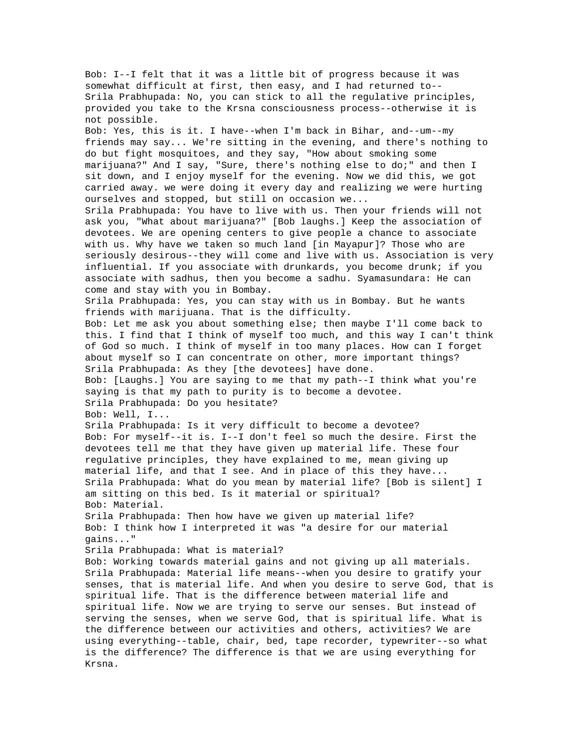Bob: I--I felt that it was a little bit of progress because it was somewhat difficult at first, then easy, and I had returned to-- Srila Prabhupada: No, you can stick to all the regulative principles, provided you take to the Krsna consciousness process--otherwise it is not possible. Bob: Yes, this is it. I have--when I'm back in Bihar, and--um--my friends may say... We're sitting in the evening, and there's nothing to do but fight mosquitoes, and they say, "How about smoking some marijuana?" And I say, "Sure, there's nothing else to do;" and then I sit down, and I enjoy myself for the evening. Now we did this, we got carried away. we were doing it every day and realizing we were hurting ourselves and stopped, but still on occasion we... Srila Prabhupada: You have to live with us. Then your friends will not ask you, "What about marijuana?" [Bob laughs.] Keep the association of devotees. We are opening centers to give people a chance to associate with us. Why have we taken so much land [in Mayapur]? Those who are seriously desirous--they will come and live with us. Association is very influential. If you associate with drunkards, you become drunk; if you associate with sadhus, then you become a sadhu. Syamasundara: He can come and stay with you in Bombay. Srila Prabhupada: Yes, you can stay with us in Bombay. But he wants friends with marijuana. That is the difficulty. Bob: Let me ask you about something else; then maybe I'll come back to this. I find that I think of myself too much, and this way I can't think of God so much. I think of myself in too many places. How can I forget about myself so I can concentrate on other, more important things? Srila Prabhupada: As they [the devotees] have done. Bob: [Laughs.] You are saying to me that my path--I think what you're saying is that my path to purity is to become a devotee. Srila Prabhupada: Do you hesitate? Bob: Well, I... Srila Prabhupada: Is it very difficult to become a devotee? Bob: For myself--it is. I--I don't feel so much the desire. First the devotees tell me that they have given up material life. These four regulative principles, they have explained to me, mean giving up material life, and that I see. And in place of this they have... Srila Prabhupada: What do you mean by material life? [Bob is silent] I am sitting on this bed. Is it material or spiritual? Bob: Material. Srila Prabhupada: Then how have we given up material life? Bob: I think how I interpreted it was "a desire for our material gains..." Srila Prabhupada: What is material? Bob: Working towards material gains and not giving up all materials. Srila Prabhupada: Material life means--when you desire to gratify your senses, that is material life. And when you desire to serve God, that is spiritual life. That is the difference between material life and spiritual life. Now we are trying to serve our senses. But instead of serving the senses, when we serve God, that is spiritual life. What is the difference between our activities and others, activities? We are using everything--table, chair, bed, tape recorder, typewriter--so what is the difference? The difference is that we are using everything for Krsna.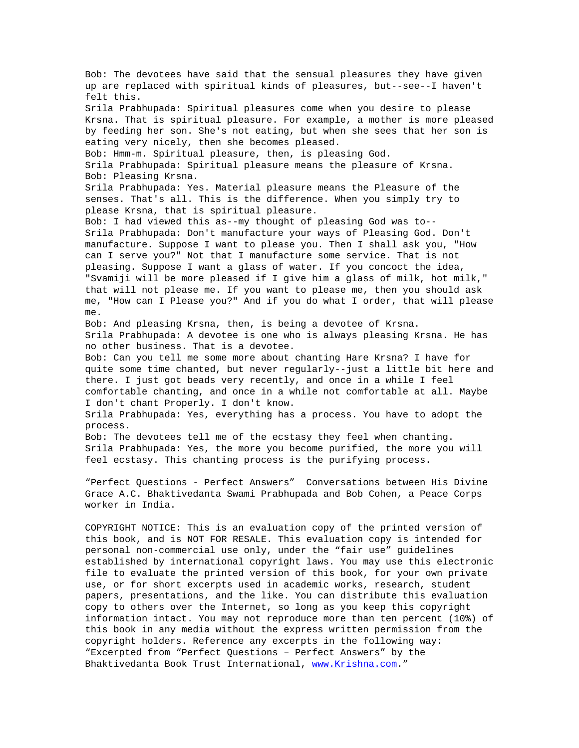Bob: The devotees have said that the sensual pleasures they have given up are replaced with spiritual kinds of pleasures, but--see--I haven't felt this. Srila Prabhupada: Spiritual pleasures come when you desire to please Krsna. That is spiritual pleasure. For example, a mother is more pleased by feeding her son. She's not eating, but when she sees that her son is eating very nicely, then she becomes pleased. Bob: Hmm-m. Spiritual pleasure, then, is pleasing God. Srila Prabhupada: Spiritual pleasure means the pleasure of Krsna. Bob: Pleasing Krsna. Srila Prabhupada: Yes. Material pleasure means the Pleasure of the senses. That's all. This is the difference. When you simply try to please Krsna, that is spiritual pleasure. Bob: I had viewed this as--my thought of pleasing God was to-- Srila Prabhupada: Don't manufacture your ways of Pleasing God. Don't manufacture. Suppose I want to please you. Then I shall ask you, "How can I serve you?" Not that I manufacture some service. That is not pleasing. Suppose I want a glass of water. If you concoct the idea, "Svamiji will be more pleased if I give him a glass of milk, hot milk," that will not please me. If you want to please me, then you should ask me, "How can I Please you?" And if you do what I order, that will please me. Bob: And pleasing Krsna, then, is being a devotee of Krsna. Srila Prabhupada: A devotee is one who is always pleasing Krsna. He has no other business. That is a devotee. Bob: Can you tell me some more about chanting Hare Krsna? I have for quite some time chanted, but never regularly--just a little bit here and there. I just got beads very recently, and once in a while I feel comfortable chanting, and once in a while not comfortable at all. Maybe I don't chant Properly. I don't know. Srila Prabhupada: Yes, everything has a process. You have to adopt the process. Bob: The devotees tell me of the ecstasy they feel when chanting. Srila Prabhupada: Yes, the more you become purified, the more you will feel ecstasy. This chanting process is the purifying process. "Perfect Questions - Perfect Answers" Conversations between His Divine Grace A.C. Bhaktivedanta Swami Prabhupada and Bob Cohen, a Peace Corps worker in India. COPYRIGHT NOTICE: This is an evaluation copy of the printed version of this book, and is NOT FOR RESALE. This evaluation copy is intended for personal non-commercial use only, under the "fair use" guidelines established by international copyright laws. You may use this electronic file to evaluate the printed version of this book, for your own private use, or for short excerpts used in academic works, research, student papers, presentations, and the like. You can distribute this evaluation

copy to others over the Internet, so long as you keep this copyright information intact. You may not reproduce more than ten percent (10%) of this book in any media without the express written permission from the copyright holders. Reference any excerpts in the following way: "Excerpted from "Perfect Questions – Perfect Answers" by the Bhaktivedanta Book Trust International, www.Krishna.com."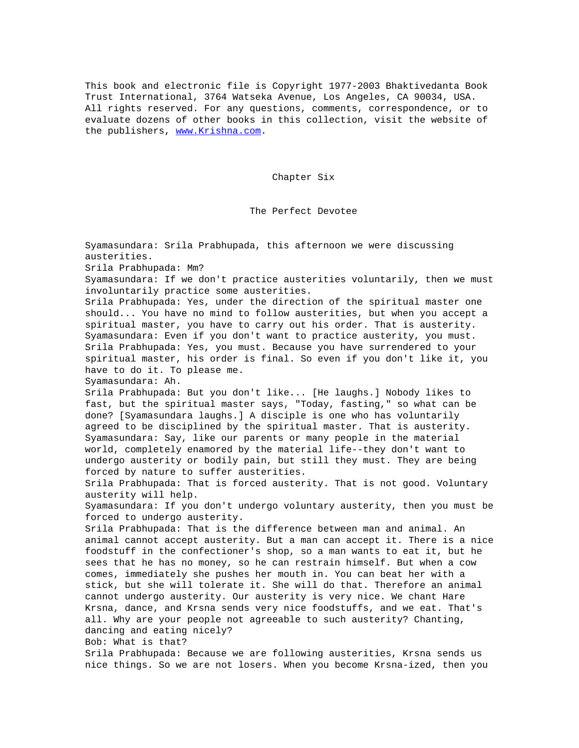This book and electronic file is Copyright 1977-2003 Bhaktivedanta Book Trust International, 3764 Watseka Avenue, Los Angeles, CA 90034, USA. All rights reserved. For any questions, comments, correspondence, or to evaluate dozens of other books in this collection, visit the website of the publishers, www.Krishna.com.

Chapter Six

The Perfect Devotee

Syamasundara: Srila Prabhupada, this afternoon we were discussing austerities. Srila Prabhupada: Mm? Syamasundara: If we don't practice austerities voluntarily, then we must involuntarily practice some austerities. Srila Prabhupada: Yes, under the direction of the spiritual master one should... You have no mind to follow austerities, but when you accept a spiritual master, you have to carry out his order. That is austerity. Syamasundara: Even if you don't want to practice austerity, you must. Srila Prabhupada: Yes, you must. Because you have surrendered to your spiritual master, his order is final. So even if you don't like it, you have to do it. To please me. Syamasundara: Ah. Srila Prabhupada: But you don't like... [He laughs.] Nobody likes to fast, but the spiritual master says, "Today, fasting," so what can be done? [Syamasundara laughs.] A disciple is one who has voluntarily agreed to be disciplined by the spiritual master. That is austerity. Syamasundara: Say, like our parents or many people in the material world, completely enamored by the material life--they don't want to undergo austerity or bodily pain, but still they must. They are being forced by nature to suffer austerities. Srila Prabhupada: That is forced austerity. That is not good. Voluntary austerity will help. Syamasundara: If you don't undergo voluntary austerity, then you must be forced to undergo austerity. Srila Prabhupada: That is the difference between man and animal. An animal cannot accept austerity. But a man can accept it. There is a nice foodstuff in the confectioner's shop, so a man wants to eat it, but he sees that he has no money, so he can restrain himself. But when a cow comes, immediately she pushes her mouth in. You can beat her with a stick, but she will tolerate it. She will do that. Therefore an animal cannot undergo austerity. Our austerity is very nice. We chant Hare Krsna, dance, and Krsna sends very nice foodstuffs, and we eat. That's all. Why are your people not agreeable to such austerity? Chanting, dancing and eating nicely? Bob: What is that? Srila Prabhupada: Because we are following austerities, Krsna sends us nice things. So we are not losers. When you become Krsna-ized, then you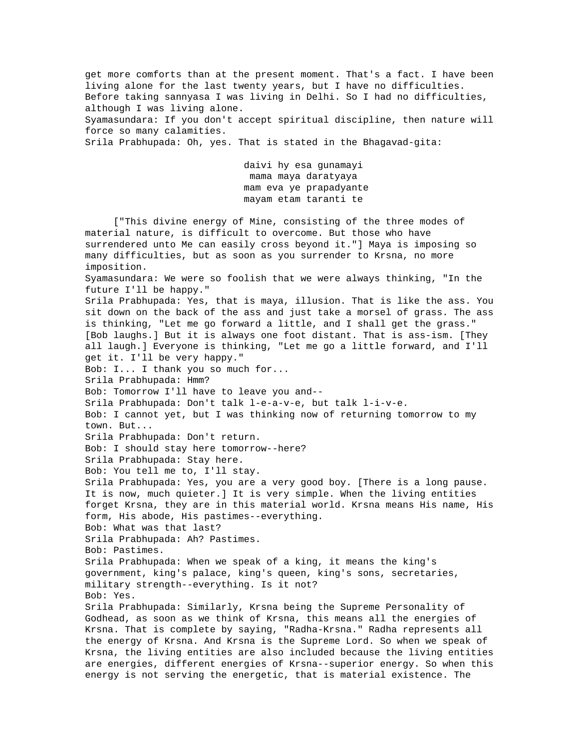get more comforts than at the present moment. That's a fact. I have been living alone for the last twenty years, but I have no difficulties. Before taking sannyasa I was living in Delhi. So I had no difficulties, although I was living alone. Syamasundara: If you don't accept spiritual discipline, then nature will

Srila Prabhupada: Oh, yes. That is stated in the Bhagavad-gita:

force so many calamities.

 daivi hy esa gunamayi mama maya daratyaya mam eva ye prapadyante mayam etam taranti te

 ["This divine energy of Mine, consisting of the three modes of material nature, is difficult to overcome. But those who have surrendered unto Me can easily cross beyond it."] Maya is imposing so many difficulties, but as soon as you surrender to Krsna, no more imposition. Syamasundara: We were so foolish that we were always thinking, "In the future I'll be happy." Srila Prabhupada: Yes, that is maya, illusion. That is like the ass. You sit down on the back of the ass and just take a morsel of grass. The ass is thinking, "Let me go forward a little, and I shall get the grass." [Bob laughs.] But it is always one foot distant. That is ass-ism. [They all laugh.] Everyone is thinking, "Let me go a little forward, and I'll get it. I'll be very happy." Bob: I... I thank you so much for... Srila Prabhupada: Hmm? Bob: Tomorrow I'll have to leave you and-- Srila Prabhupada: Don't talk l-e-a-v-e, but talk l-i-v-e. Bob: I cannot yet, but I was thinking now of returning tomorrow to my town. But... Srila Prabhupada: Don't return. Bob: I should stay here tomorrow--here? Srila Prabhupada: Stay here. Bob: You tell me to, I'll stay. Srila Prabhupada: Yes, you are a very good boy. [There is a long pause. It is now, much quieter.] It is very simple. When the living entities forget Krsna, they are in this material world. Krsna means His name, His form, His abode, His pastimes--everything. Bob: What was that last? Srila Prabhupada: Ah? Pastimes. Bob: Pastimes. Srila Prabhupada: When we speak of a king, it means the king's government, king's palace, king's queen, king's sons, secretaries, military strength--everything. Is it not? Bob: Yes. Srila Prabhupada: Similarly, Krsna being the Supreme Personality of Godhead, as soon as we think of Krsna, this means all the energies of Krsna. That is complete by saying, "Radha-Krsna." Radha represents all the energy of Krsna. And Krsna is the Supreme Lord. So when we speak of Krsna, the living entities are also included because the living entities are energies, different energies of Krsna--superior energy. So when this energy is not serving the energetic, that is material existence. The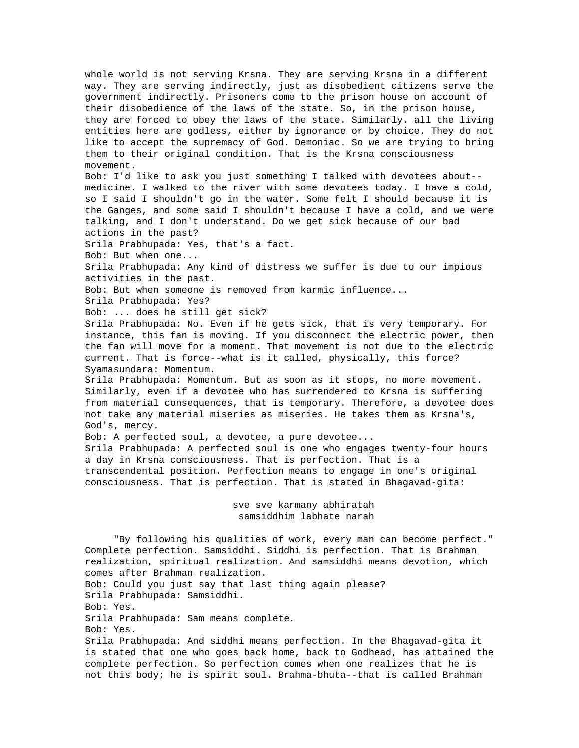whole world is not serving Krsna. They are serving Krsna in a different way. They are serving indirectly, just as disobedient citizens serve the government indirectly. Prisoners come to the prison house on account of their disobedience of the laws of the state. So, in the prison house, they are forced to obey the laws of the state. Similarly. all the living entities here are godless, either by ignorance or by choice. They do not like to accept the supremacy of God. Demoniac. So we are trying to bring them to their original condition. That is the Krsna consciousness movement. Bob: I'd like to ask you just something I talked with devotees about- medicine. I walked to the river with some devotees today. I have a cold, so I said I shouldn't go in the water. Some felt I should because it is the Ganges, and some said I shouldn't because I have a cold, and we were talking, and I don't understand. Do we get sick because of our bad actions in the past? Srila Prabhupada: Yes, that's a fact. Bob: But when one... Srila Prabhupada: Any kind of distress we suffer is due to our impious activities in the past. Bob: But when someone is removed from karmic influence... Srila Prabhupada: Yes? Bob: ... does he still get sick? Srila Prabhupada: No. Even if he gets sick, that is very temporary. For instance, this fan is moving. If you disconnect the electric power, then the fan will move for a moment. That movement is not due to the electric current. That is force--what is it called, physically, this force? Syamasundara: Momentum. Srila Prabhupada: Momentum. But as soon as it stops, no more movement. Similarly, even if a devotee who has surrendered to Krsna is suffering from material consequences, that is temporary. Therefore, a devotee does not take any material miseries as miseries. He takes them as Krsna's, God's, mercy. Bob: A perfected soul, a devotee, a pure devotee... Srila Prabhupada: A perfected soul is one who engages twenty-four hours a day in Krsna consciousness. That is perfection. That is a transcendental position. Perfection means to engage in one's original consciousness. That is perfection. That is stated in Bhagavad-gita: sve sve karmany abhiratah samsiddhim labhate narah "By following his qualities of work, every man can become perfect." Complete perfection. Samsiddhi. Siddhi is perfection. That is Brahman realization, spiritual realization. And samsiddhi means devotion, which comes after Brahman realization. Bob: Could you just say that last thing again please? Srila Prabhupada: Samsiddhi. Bob: Yes. Srila Prabhupada: Sam means complete. Bob: Yes. Srila Prabhupada: And siddhi means perfection. In the Bhagavad-gita it is stated that one who goes back home, back to Godhead, has attained the complete perfection. So perfection comes when one realizes that he is

not this body; he is spirit soul. Brahma-bhuta--that is called Brahman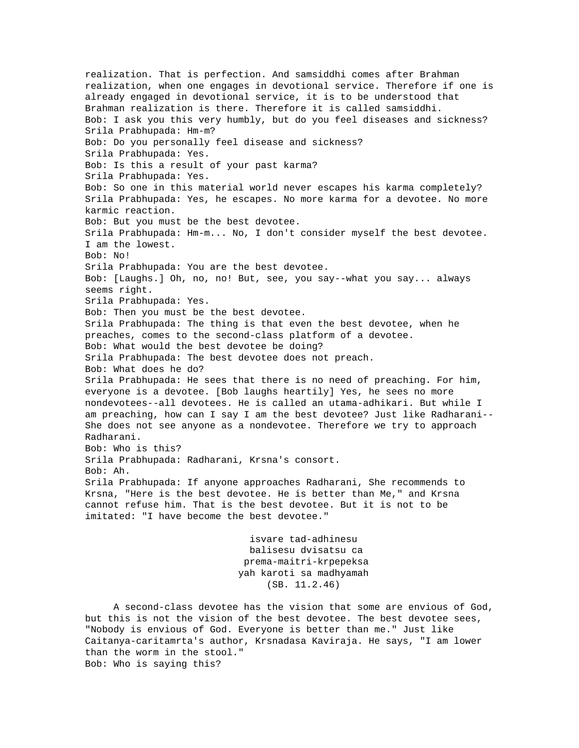realization. That is perfection. And samsiddhi comes after Brahman realization, when one engages in devotional service. Therefore if one is already engaged in devotional service, it is to be understood that Brahman realization is there. Therefore it is called samsiddhi. Bob: I ask you this very humbly, but do you feel diseases and sickness? Srila Prabhupada: Hm-m? Bob: Do you personally feel disease and sickness? Srila Prabhupada: Yes. Bob: Is this a result of your past karma? Srila Prabhupada: Yes. Bob: So one in this material world never escapes his karma completely? Srila Prabhupada: Yes, he escapes. No more karma for a devotee. No more karmic reaction. Bob: But you must be the best devotee. Srila Prabhupada: Hm-m... No, I don't consider myself the best devotee. I am the lowest. Bob: No! Srila Prabhupada: You are the best devotee. Bob: [Laughs.] Oh, no, no! But, see, you say--what you say... always seems right. Srila Prabhupada: Yes. Bob: Then you must be the best devotee. Srila Prabhupada: The thing is that even the best devotee, when he preaches, comes to the second-class platform of a devotee. Bob: What would the best devotee be doing? Srila Prabhupada: The best devotee does not preach. Bob: What does he do? Srila Prabhupada: He sees that there is no need of preaching. For him, everyone is a devotee. [Bob laughs heartily] Yes, he sees no more nondevotees--all devotees. He is called an utama-adhikari. But while I am preaching, how can I say I am the best devotee? Just like Radharani-- She does not see anyone as a nondevotee. Therefore we try to approach Radharani. Bob: Who is this? Srila Prabhupada: Radharani, Krsna's consort. Bob: Ah. Srila Prabhupada: If anyone approaches Radharani, She recommends to Krsna, "Here is the best devotee. He is better than Me," and Krsna cannot refuse him. That is the best devotee. But it is not to be imitated: "I have become the best devotee." isvare tad-adhinesu

 balisesu dvisatsu ca prema-maitri-krpepeksa yah karoti sa madhyamah (SB. 11.2.46)

 A second-class devotee has the vision that some are envious of God, but this is not the vision of the best devotee. The best devotee sees, "Nobody is envious of God. Everyone is better than me." Just like Caitanya-caritamrta's author, Krsnadasa Kaviraja. He says, "I am lower than the worm in the stool." Bob: Who is saying this?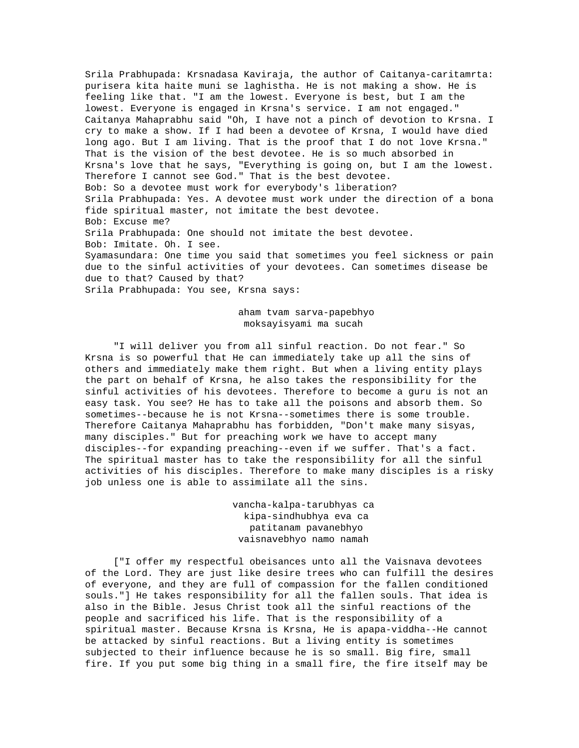Srila Prabhupada: Krsnadasa Kaviraja, the author of Caitanya-caritamrta: purisera kita haite muni se laghistha. He is not making a show. He is feeling like that. "I am the lowest. Everyone is best, but I am the lowest. Everyone is engaged in Krsna's service. I am not engaged." Caitanya Mahaprabhu said "Oh, I have not a pinch of devotion to Krsna. I cry to make a show. If I had been a devotee of Krsna, I would have died long ago. But I am living. That is the proof that I do not love Krsna." That is the vision of the best devotee. He is so much absorbed in Krsna's love that he says, "Everything is going on, but I am the lowest. Therefore I cannot see God." That is the best devotee. Bob: So a devotee must work for everybody's liberation? Srila Prabhupada: Yes. A devotee must work under the direction of a bona fide spiritual master, not imitate the best devotee. Bob: Excuse me? Srila Prabhupada: One should not imitate the best devotee. Bob: Imitate. Oh. I see. Syamasundara: One time you said that sometimes you feel sickness or pain due to the sinful activities of your devotees. Can sometimes disease be due to that? Caused by that? Srila Prabhupada: You see, Krsna says:

# aham tvam sarva-papebhyo moksayisyami ma sucah

 "I will deliver you from all sinful reaction. Do not fear." So Krsna is so powerful that He can immediately take up all the sins of others and immediately make them right. But when a living entity plays the part on behalf of Krsna, he also takes the responsibility for the sinful activities of his devotees. Therefore to become a guru is not an easy task. You see? He has to take all the poisons and absorb them. So sometimes--because he is not Krsna--sometimes there is some trouble. Therefore Caitanya Mahaprabhu has forbidden, "Don't make many sisyas, many disciples." But for preaching work we have to accept many disciples--for expanding preaching--even if we suffer. That's a fact. The spiritual master has to take the responsibility for all the sinful activities of his disciples. Therefore to make many disciples is a risky job unless one is able to assimilate all the sins.

> vancha-kalpa-tarubhyas ca kipa-sindhubhya eva ca patitanam pavanebhyo vaisnavebhyo namo namah

 ["I offer my respectful obeisances unto all the Vaisnava devotees of the Lord. They are just like desire trees who can fulfill the desires of everyone, and they are full of compassion for the fallen conditioned souls."] He takes responsibility for all the fallen souls. That idea is also in the Bible. Jesus Christ took all the sinful reactions of the people and sacrificed his life. That is the responsibility of a spiritual master. Because Krsna is Krsna, He is apapa-viddha--He cannot be attacked by sinful reactions. But a living entity is sometimes subjected to their influence because he is so small. Big fire, small fire. If you put some big thing in a small fire, the fire itself may be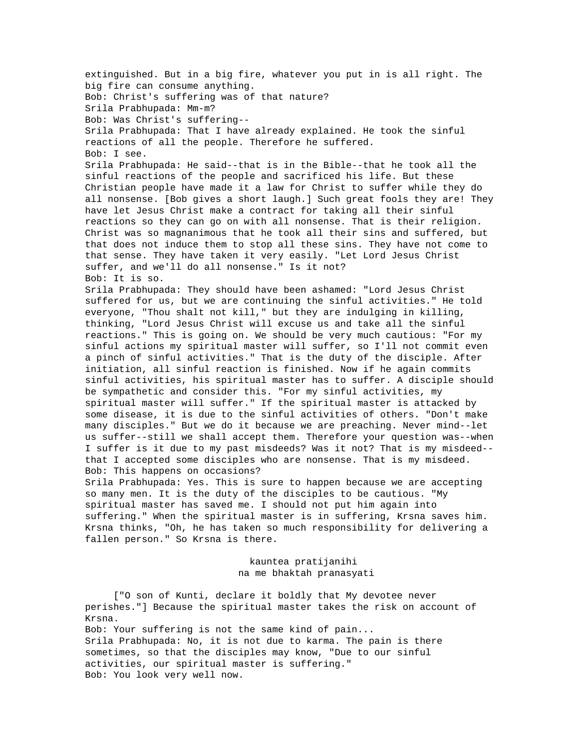extinguished. But in a big fire, whatever you put in is all right. The big fire can consume anything. Bob: Christ's suffering was of that nature? Srila Prabhupada: Mm-m? Bob: Was Christ's suffering-- Srila Prabhupada: That I have already explained. He took the sinful reactions of all the people. Therefore he suffered. Bob: I see. Srila Prabhupada: He said--that is in the Bible--that he took all the sinful reactions of the people and sacrificed his life. But these Christian people have made it a law for Christ to suffer while they do all nonsense. [Bob gives a short laugh.] Such great fools they are! They have let Jesus Christ make a contract for taking all their sinful reactions so they can go on with all nonsense. That is their religion. Christ was so magnanimous that he took all their sins and suffered, but that does not induce them to stop all these sins. They have not come to that sense. They have taken it very easily. "Let Lord Jesus Christ suffer, and we'll do all nonsense." Is it not? Bob: It is so. Srila Prabhupada: They should have been ashamed: "Lord Jesus Christ suffered for us, but we are continuing the sinful activities." He told everyone, "Thou shalt not kill," but they are indulging in killing, thinking, "Lord Jesus Christ will excuse us and take all the sinful reactions." This is going on. We should be very much cautious: "For my sinful actions my spiritual master will suffer, so I'll not commit even a pinch of sinful activities." That is the duty of the disciple. After initiation, all sinful reaction is finished. Now if he again commits sinful activities, his spiritual master has to suffer. A disciple should be sympathetic and consider this. "For my sinful activities, my spiritual master will suffer." If the spiritual master is attacked by some disease, it is due to the sinful activities of others. "Don't make many disciples." But we do it because we are preaching. Never mind--let us suffer--still we shall accept them. Therefore your question was--when I suffer is it due to my past misdeeds? Was it not? That is my misdeed- that I accepted some disciples who are nonsense. That is my misdeed. Bob: This happens on occasions? Srila Prabhupada: Yes. This is sure to happen because we are accepting so many men. It is the duty of the disciples to be cautious. "My spiritual master has saved me. I should not put him again into suffering." When the spiritual master is in suffering, Krsna saves him. Krsna thinks, "Oh, he has taken so much responsibility for delivering a fallen person." So Krsna is there. kauntea pratijanihi na me bhaktah pranasyati

 ["O son of Kunti, declare it boldly that My devotee never perishes."] Because the spiritual master takes the risk on account of Krsna. Bob: Your suffering is not the same kind of pain... Srila Prabhupada: No, it is not due to karma. The pain is there sometimes, so that the disciples may know, "Due to our sinful activities, our spiritual master is suffering." Bob: You look very well now.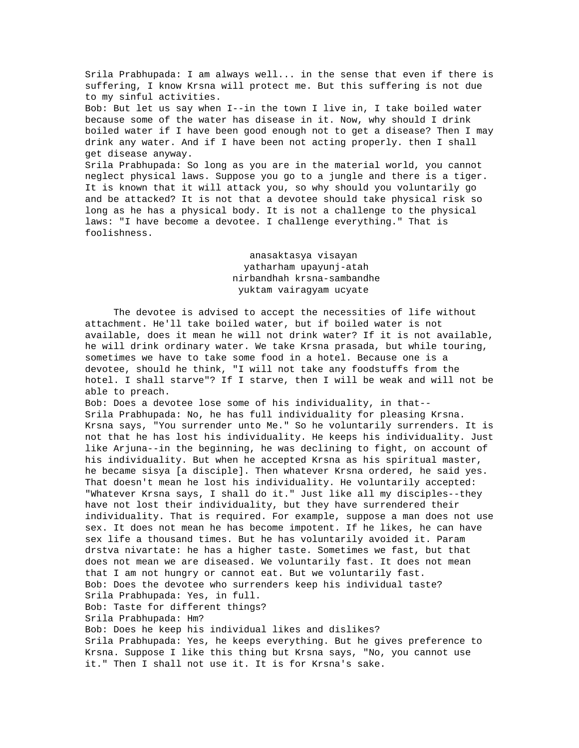Srila Prabhupada: I am always well... in the sense that even if there is suffering, I know Krsna will protect me. But this suffering is not due to my sinful activities. Bob: But let us say when I--in the town I live in, I take boiled water because some of the water has disease in it. Now, why should I drink boiled water if I have been good enough not to get a disease? Then I may drink any water. And if I have been not acting properly. then I shall get disease anyway. Srila Prabhupada: So long as you are in the material world, you cannot neglect physical laws. Suppose you go to a jungle and there is a tiger. It is known that it will attack you, so why should you voluntarily go and be attacked? It is not that a devotee should take physical risk so long as he has a physical body. It is not a challenge to the physical laws: "I have become a devotee. I challenge everything." That is foolishness.

> anasaktasya visayan yatharham upayunj-atah nirbandhah krsna-sambandhe yuktam vairagyam ucyate

 The devotee is advised to accept the necessities of life without attachment. He'll take boiled water, but if boiled water is not available, does it mean he will not drink water? If it is not available, he will drink ordinary water. We take Krsna prasada, but while touring, sometimes we have to take some food in a hotel. Because one is a devotee, should he think, "I will not take any foodstuffs from the hotel. I shall starve"? If I starve, then I will be weak and will not be able to preach.

Bob: Does a devotee lose some of his individuality, in that-- Srila Prabhupada: No, he has full individuality for pleasing Krsna. Krsna says, "You surrender unto Me." So he voluntarily surrenders. It is not that he has lost his individuality. He keeps his individuality. Just like Arjuna--in the beginning, he was declining to fight, on account of his individuality. But when he accepted Krsna as his spiritual master, he became sisya [a disciple]. Then whatever Krsna ordered, he said yes. That doesn't mean he lost his individuality. He voluntarily accepted: "Whatever Krsna says, I shall do it." Just like all my disciples--they have not lost their individuality, but they have surrendered their individuality. That is required. For example, suppose a man does not use sex. It does not mean he has become impotent. If he likes, he can have sex life a thousand times. But he has voluntarily avoided it. Param drstva nivartate: he has a higher taste. Sometimes we fast, but that does not mean we are diseased. We voluntarily fast. It does not mean that I am not hungry or cannot eat. But we voluntarily fast. Bob: Does the devotee who surrenders keep his individual taste? Srila Prabhupada: Yes, in full. Bob: Taste for different things? Srila Prabhupada: Hm? Bob: Does he keep his individual likes and dislikes? Srila Prabhupada: Yes, he keeps everything. But he gives preference to Krsna. Suppose I like this thing but Krsna says, "No, you cannot use it." Then I shall not use it. It is for Krsna's sake.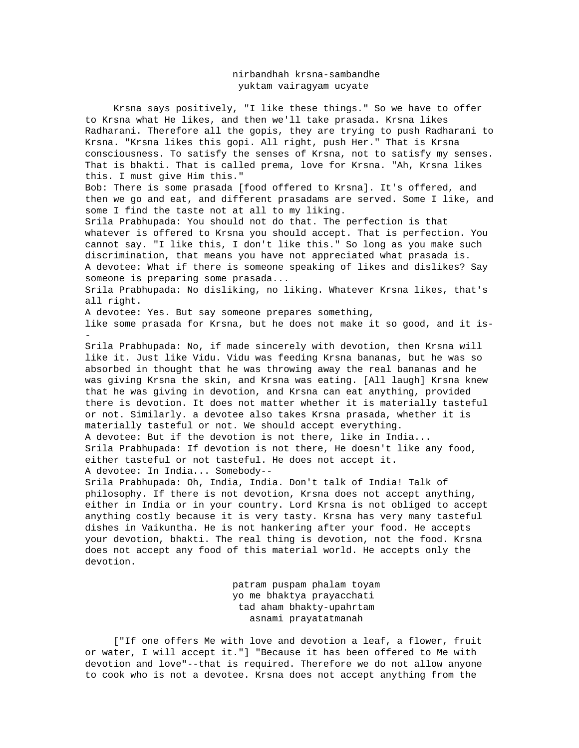## nirbandhah krsna-sambandhe yuktam vairagyam ucyate

 Krsna says positively, "I like these things." So we have to offer to Krsna what He likes, and then we'll take prasada. Krsna likes Radharani. Therefore all the gopis, they are trying to push Radharani to Krsna. "Krsna likes this gopi. All right, push Her." That is Krsna consciousness. To satisfy the senses of Krsna, not to satisfy my senses. That is bhakti. That is called prema, love for Krsna. "Ah, Krsna likes this. I must give Him this." Bob: There is some prasada [food offered to Krsna]. It's offered, and then we go and eat, and different prasadams are served. Some I like, and some I find the taste not at all to my liking. Srila Prabhupada: You should not do that. The perfection is that whatever is offered to Krsna you should accept. That is perfection. You cannot say. "I like this, I don't like this." So long as you make such discrimination, that means you have not appreciated what prasada is. A devotee: What if there is someone speaking of likes and dislikes? Say someone is preparing some prasada... Srila Prabhupada: No disliking, no liking. Whatever Krsna likes, that's all right. A devotee: Yes. But say someone prepares something, like some prasada for Krsna, but he does not make it so good, and it is- - Srila Prabhupada: No, if made sincerely with devotion, then Krsna will like it. Just like Vidu. Vidu was feeding Krsna bananas, but he was so absorbed in thought that he was throwing away the real bananas and he was giving Krsna the skin, and Krsna was eating. [All laugh] Krsna knew that he was giving in devotion, and Krsna can eat anything, provided there is devotion. It does not matter whether it is materially tasteful or not. Similarly. a devotee also takes Krsna prasada, whether it is materially tasteful or not. We should accept everything. A devotee: But if the devotion is not there, like in India... Srila Prabhupada: If devotion is not there, He doesn't like any food, either tasteful or not tasteful. He does not accept it. A devotee: In India... Somebody-- Srila Prabhupada: Oh, India, India. Don't talk of India! Talk of philosophy. If there is not devotion, Krsna does not accept anything, either in India or in your country. Lord Krsna is not obliged to accept anything costly because it is very tasty. Krsna has very many tasteful dishes in Vaikuntha. He is not hankering after your food. He accepts your devotion, bhakti. The real thing is devotion, not the food. Krsna does not accept any food of this material world. He accepts only the devotion. patram puspam phalam toyam

 yo me bhaktya prayacchati tad aham bhakty-upahrtam asnami prayatatmanah

 ["If one offers Me with love and devotion a leaf, a flower, fruit or water, I will accept it."] "Because it has been offered to Me with devotion and love"--that is required. Therefore we do not allow anyone to cook who is not a devotee. Krsna does not accept anything from the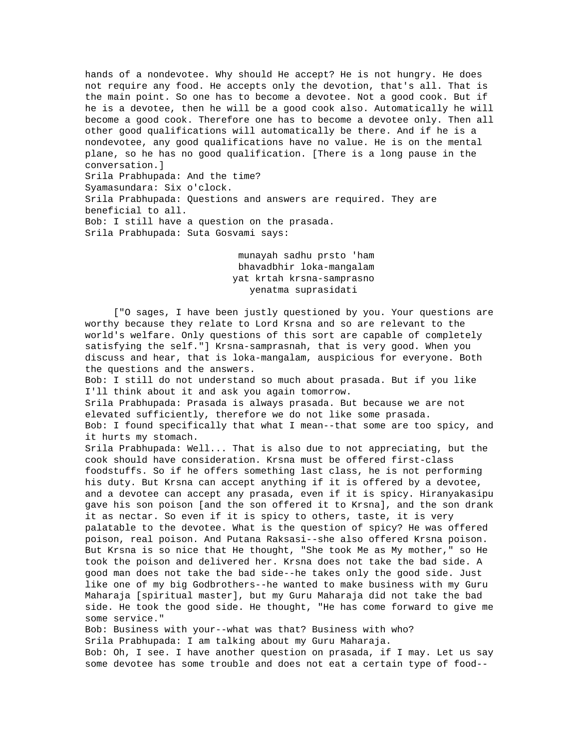hands of a nondevotee. Why should He accept? He is not hungry. He does not require any food. He accepts only the devotion, that's all. That is the main point. So one has to become a devotee. Not a good cook. But if he is a devotee, then he will be a good cook also. Automatically he will become a good cook. Therefore one has to become a devotee only. Then all other good qualifications will automatically be there. And if he is a nondevotee, any good qualifications have no value. He is on the mental plane, so he has no good qualification. [There is a long pause in the conversation.] Srila Prabhupada: And the time? Syamasundara: Six o'clock. Srila Prabhupada: Questions and answers are required. They are beneficial to all. Bob: I still have a question on the prasada. Srila Prabhupada: Suta Gosvami says:

> munayah sadhu prsto 'ham bhavadbhir loka-mangalam yat krtah krsna-samprasno yenatma suprasidati

 ["O sages, I have been justly questioned by you. Your questions are worthy because they relate to Lord Krsna and so are relevant to the world's welfare. Only questions of this sort are capable of completely satisfying the self."] Krsna-samprasnah, that is very good. When you discuss and hear, that is loka-mangalam, auspicious for everyone. Both the questions and the answers.

Bob: I still do not understand so much about prasada. But if you like I'll think about it and ask you again tomorrow.

Srila Prabhupada: Prasada is always prasada. But because we are not elevated sufficiently, therefore we do not like some prasada. Bob: I found specifically that what I mean--that some are too spicy, and it hurts my stomach.

Srila Prabhupada: Well... That is also due to not appreciating, but the cook should have consideration. Krsna must be offered first-class foodstuffs. So if he offers something last class, he is not performing his duty. But Krsna can accept anything if it is offered by a devotee, and a devotee can accept any prasada, even if it is spicy. Hiranyakasipu gave his son poison [and the son offered it to Krsna], and the son drank it as nectar. So even if it is spicy to others, taste, it is very palatable to the devotee. What is the question of spicy? He was offered poison, real poison. And Putana Raksasi--she also offered Krsna poison. But Krsna is so nice that He thought, "She took Me as My mother," so He took the poison and delivered her. Krsna does not take the bad side. A good man does not take the bad side--he takes only the good side. Just like one of my big Godbrothers--he wanted to make business with my Guru Maharaja [spiritual master], but my Guru Maharaja did not take the bad side. He took the good side. He thought, "He has come forward to give me some service."

Bob: Business with your--what was that? Business with who? Srila Prabhupada: I am talking about my Guru Maharaja. Bob: Oh, I see. I have another question on prasada, if I may. Let us say some devotee has some trouble and does not eat a certain type of food--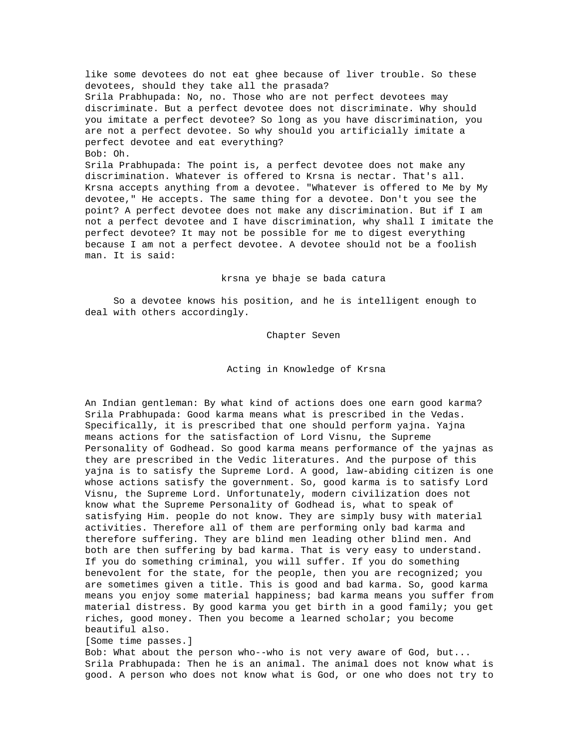like some devotees do not eat ghee because of liver trouble. So these devotees, should they take all the prasada? Srila Prabhupada: No, no. Those who are not perfect devotees may discriminate. But a perfect devotee does not discriminate. Why should you imitate a perfect devotee? So long as you have discrimination, you are not a perfect devotee. So why should you artificially imitate a perfect devotee and eat everything? Bob: Oh. Srila Prabhupada: The point is, a perfect devotee does not make any discrimination. Whatever is offered to Krsna is nectar. That's all. Krsna accepts anything from a devotee. "Whatever is offered to Me by My devotee," He accepts. The same thing for a devotee. Don't you see the point? A perfect devotee does not make any discrimination. But if I am not a perfect devotee and I have discrimination, why shall I imitate the perfect devotee? It may not be possible for me to digest everything because I am not a perfect devotee. A devotee should not be a foolish man. It is said:

krsna ye bhaje se bada catura

 So a devotee knows his position, and he is intelligent enough to deal with others accordingly.

Chapter Seven

## Acting in Knowledge of Krsna

An Indian gentleman: By what kind of actions does one earn good karma? Srila Prabhupada: Good karma means what is prescribed in the Vedas. Specifically, it is prescribed that one should perform yajna. Yajna means actions for the satisfaction of Lord Visnu, the Supreme Personality of Godhead. So good karma means performance of the yajnas as they are prescribed in the Vedic literatures. And the purpose of this yajna is to satisfy the Supreme Lord. A good, law-abiding citizen is one whose actions satisfy the government. So, good karma is to satisfy Lord Visnu, the Supreme Lord. Unfortunately, modern civilization does not know what the Supreme Personality of Godhead is, what to speak of satisfying Him. people do not know. They are simply busy with material activities. Therefore all of them are performing only bad karma and therefore suffering. They are blind men leading other blind men. And both are then suffering by bad karma. That is very easy to understand. If you do something criminal, you will suffer. If you do something benevolent for the state, for the people, then you are recognized; you are sometimes given a title. This is good and bad karma. So, good karma means you enjoy some material happiness; bad karma means you suffer from material distress. By good karma you get birth in a good family; you get riches, good money. Then you become a learned scholar; you become beautiful also.

[Some time passes.]

Bob: What about the person who--who is not very aware of God, but... Srila Prabhupada: Then he is an animal. The animal does not know what is good. A person who does not know what is God, or one who does not try to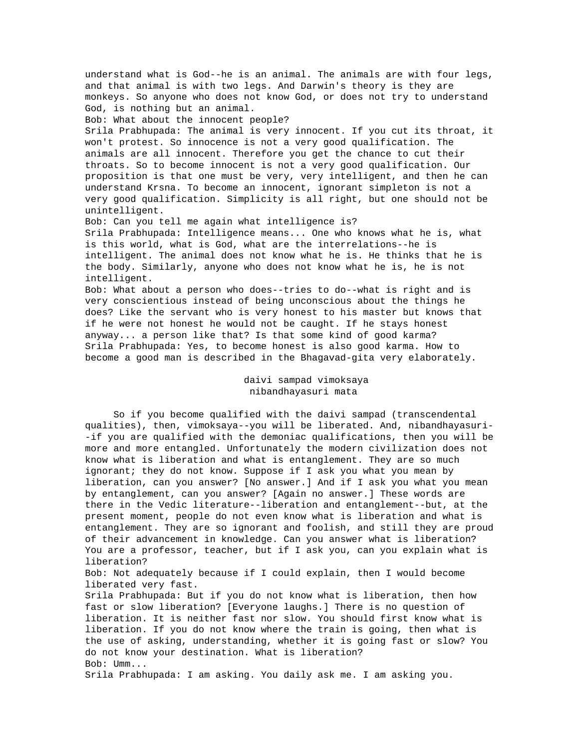understand what is God--he is an animal. The animals are with four legs, and that animal is with two legs. And Darwin's theory is they are monkeys. So anyone who does not know God, or does not try to understand God, is nothing but an animal. Bob: What about the innocent people? Srila Prabhupada: The animal is very innocent. If you cut its throat, it won't protest. So innocence is not a very good qualification. The animals are all innocent. Therefore you get the chance to cut their throats. So to become innocent is not a very good qualification. Our proposition is that one must be very, very intelligent, and then he can understand Krsna. To become an innocent, ignorant simpleton is not a very good qualification. Simplicity is all right, but one should not be unintelligent. Bob: Can you tell me again what intelligence is? Srila Prabhupada: Intelligence means... One who knows what he is, what is this world, what is God, what are the interrelations--he is intelligent. The animal does not know what he is. He thinks that he is the body. Similarly, anyone who does not know what he is, he is not intelligent. Bob: What about a person who does--tries to do--what is right and is very conscientious instead of being unconscious about the things he does? Like the servant who is very honest to his master but knows that if he were not honest he would not be caught. If he stays honest anyway... a person like that? Is that some kind of good karma? Srila Prabhupada: Yes, to become honest is also good karma. How to become a good man is described in the Bhagavad-gita very elaborately.

> daivi sampad vimoksaya nibandhayasuri mata

 So if you become qualified with the daivi sampad (transcendental qualities), then, vimoksaya--you will be liberated. And, nibandhayasuri- -if you are qualified with the demoniac qualifications, then you will be more and more entangled. Unfortunately the modern civilization does not know what is liberation and what is entanglement. They are so much ignorant; they do not know. Suppose if I ask you what you mean by liberation, can you answer? [No answer.] And if I ask you what you mean by entanglement, can you answer? [Again no answer.] These words are there in the Vedic literature--liberation and entanglement--but, at the present moment, people do not even know what is liberation and what is entanglement. They are so ignorant and foolish, and still they are proud of their advancement in knowledge. Can you answer what is liberation? You are a professor, teacher, but if I ask you, can you explain what is liberation?

Bob: Not adequately because if I could explain, then I would become liberated very fast.

Srila Prabhupada: But if you do not know what is liberation, then how fast or slow liberation? [Everyone laughs.] There is no question of liberation. It is neither fast nor slow. You should first know what is liberation. If you do not know where the train is going, then what is the use of asking, understanding, whether it is going fast or slow? You do not know your destination. What is liberation? Bob: Umm...

Srila Prabhupada: I am asking. You daily ask me. I am asking you.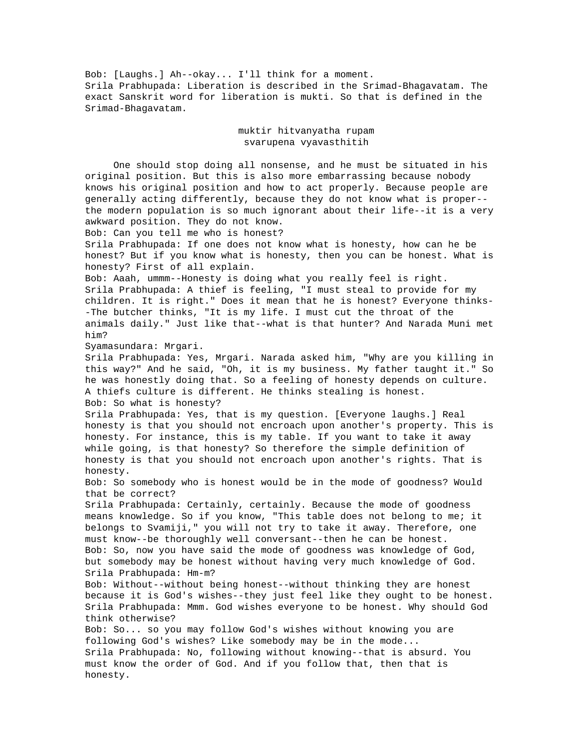Bob: [Laughs.] Ah--okay... I'll think for a moment. Srila Prabhupada: Liberation is described in the Srimad-Bhagavatam. The exact Sanskrit word for liberation is mukti. So that is defined in the Srimad-Bhagavatam.

## muktir hitvanyatha rupam svarupena vyavasthitih

 One should stop doing all nonsense, and he must be situated in his original position. But this is also more embarrassing because nobody knows his original position and how to act properly. Because people are generally acting differently, because they do not know what is proper- the modern population is so much ignorant about their life--it is a very awkward position. They do not know.

Bob: Can you tell me who is honest?

Srila Prabhupada: If one does not know what is honesty, how can he be honest? But if you know what is honesty, then you can be honest. What is honesty? First of all explain.

Bob: Aaah, ummm--Honesty is doing what you really feel is right. Srila Prabhupada: A thief is feeling, "I must steal to provide for my children. It is right." Does it mean that he is honest? Everyone thinks- -The butcher thinks, "It is my life. I must cut the throat of the animals daily." Just like that--what is that hunter? And Narada Muni met him?

Syamasundara: Mrgari.

Srila Prabhupada: Yes, Mrgari. Narada asked him, "Why are you killing in this way?" And he said, "Oh, it is my business. My father taught it." So he was honestly doing that. So a feeling of honesty depends on culture. A thiefs culture is different. He thinks stealing is honest. Bob: So what is honesty?

Srila Prabhupada: Yes, that is my question. [Everyone laughs.] Real honesty is that you should not encroach upon another's property. This is honesty. For instance, this is my table. If you want to take it away while going, is that honesty? So therefore the simple definition of honesty is that you should not encroach upon another's rights. That is honesty.

Bob: So somebody who is honest would be in the mode of goodness? Would that be correct?

Srila Prabhupada: Certainly, certainly. Because the mode of goodness means knowledge. So if you know, "This table does not belong to me; it belongs to Svamiji," you will not try to take it away. Therefore, one must know--be thoroughly well conversant--then he can be honest. Bob: So, now you have said the mode of goodness was knowledge of God, but somebody may be honest without having very much knowledge of God. Srila Prabhupada: Hm-m?

Bob: Without--without being honest--without thinking they are honest because it is God's wishes--they just feel like they ought to be honest. Srila Prabhupada: Mmm. God wishes everyone to be honest. Why should God think otherwise?

Bob: So... so you may follow God's wishes without knowing you are following God's wishes? Like somebody may be in the mode... Srila Prabhupada: No, following without knowing--that is absurd. You

must know the order of God. And if you follow that, then that is honesty.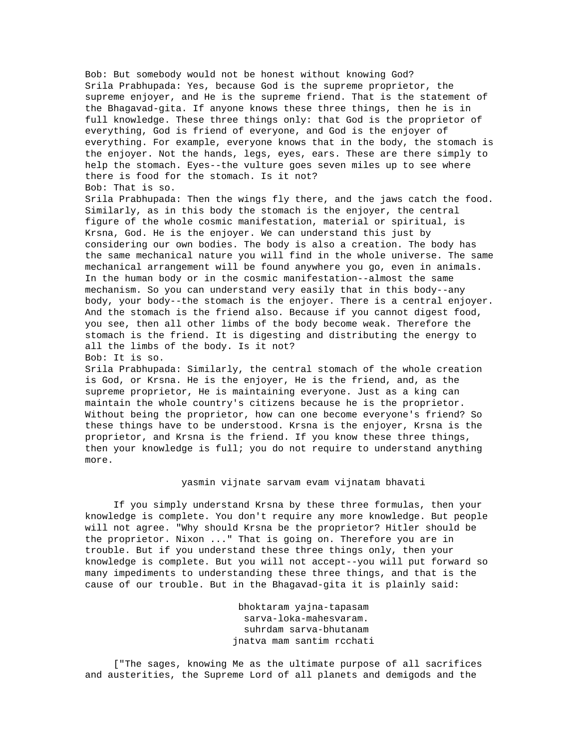Bob: But somebody would not be honest without knowing God? Srila Prabhupada: Yes, because God is the supreme proprietor, the supreme enjoyer, and He is the supreme friend. That is the statement of the Bhagavad-gita. If anyone knows these three things, then he is in full knowledge. These three things only: that God is the proprietor of everything, God is friend of everyone, and God is the enjoyer of everything. For example, everyone knows that in the body, the stomach is the enjoyer. Not the hands, legs, eyes, ears. These are there simply to help the stomach. Eyes--the vulture goes seven miles up to see where there is food for the stomach. Is it not? Bob: That is so.

Srila Prabhupada: Then the wings fly there, and the jaws catch the food. Similarly, as in this body the stomach is the enjoyer, the central figure of the whole cosmic manifestation, material or spiritual, is Krsna, God. He is the enjoyer. We can understand this just by considering our own bodies. The body is also a creation. The body has the same mechanical nature you will find in the whole universe. The same mechanical arrangement will be found anywhere you go, even in animals. In the human body or in the cosmic manifestation--almost the same mechanism. So you can understand very easily that in this body--any body, your body--the stomach is the enjoyer. There is a central enjoyer. And the stomach is the friend also. Because if you cannot digest food, you see, then all other limbs of the body become weak. Therefore the stomach is the friend. It is digesting and distributing the energy to all the limbs of the body. Is it not? Bob: It is so.

Srila Prabhupada: Similarly, the central stomach of the whole creation is God, or Krsna. He is the enjoyer, He is the friend, and, as the supreme proprietor, He is maintaining everyone. Just as a king can maintain the whole country's citizens because he is the proprietor. Without being the proprietor, how can one become everyone's friend? So these things have to be understood. Krsna is the enjoyer, Krsna is the proprietor, and Krsna is the friend. If you know these three things, then your knowledge is full; you do not require to understand anything

more.

### yasmin vijnate sarvam evam vijnatam bhavati

 If you simply understand Krsna by these three formulas, then your knowledge is complete. You don't require any more knowledge. But people will not agree. "Why should Krsna be the proprietor? Hitler should be the proprietor. Nixon ..." That is going on. Therefore you are in trouble. But if you understand these three things only, then your knowledge is complete. But you will not accept--you will put forward so many impediments to understanding these three things, and that is the cause of our trouble. But in the Bhagavad-gita it is plainly said:

> bhoktaram yajna-tapasam sarva-loka-mahesvaram. suhrdam sarva-bhutanam jnatva mam santim rcchati

 ["The sages, knowing Me as the ultimate purpose of all sacrifices and austerities, the Supreme Lord of all planets and demigods and the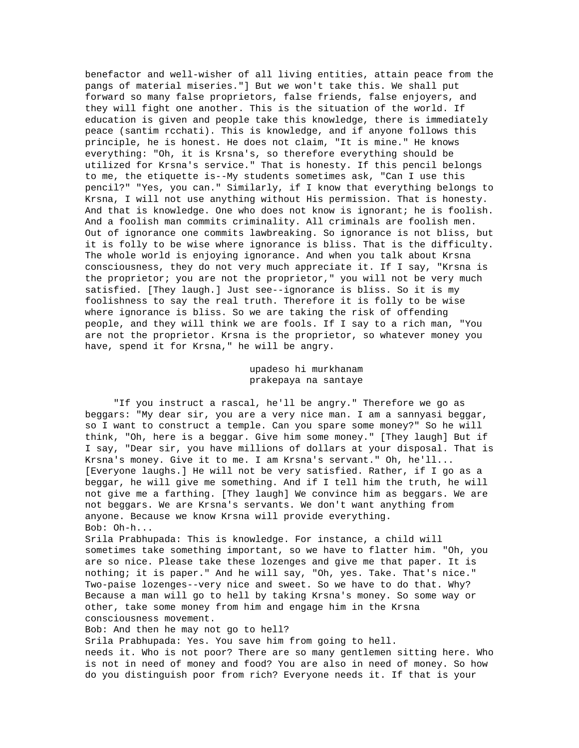benefactor and well-wisher of all living entities, attain peace from the pangs of material miseries."] But we won't take this. We shall put forward so many false proprietors, false friends, false enjoyers, and they will fight one another. This is the situation of the world. If education is given and people take this knowledge, there is immediately peace (santim rcchati). This is knowledge, and if anyone follows this principle, he is honest. He does not claim, "It is mine." He knows everything: "Oh, it is Krsna's, so therefore everything should be utilized for Krsna's service." That is honesty. If this pencil belongs to me, the etiquette is--My students sometimes ask, "Can I use this pencil?" "Yes, you can." Similarly, if I know that everything belongs to Krsna, I will not use anything without His permission. That is honesty. And that is knowledge. One who does not know is ignorant; he is foolish. And a foolish man commits criminality. All criminals are foolish men. Out of ignorance one commits lawbreaking. So ignorance is not bliss, but it is folly to be wise where ignorance is bliss. That is the difficulty. The whole world is enjoying ignorance. And when you talk about Krsna consciousness, they do not very much appreciate it. If I say, "Krsna is the proprietor; you are not the proprietor," you will not be very much satisfied. [They laugh.] Just see--ignorance is bliss. So it is my foolishness to say the real truth. Therefore it is folly to be wise where ignorance is bliss. So we are taking the risk of offending people, and they will think we are fools. If I say to a rich man, "You are not the proprietor. Krsna is the proprietor, so whatever money you have, spend it for Krsna," he will be angry.

# upadeso hi murkhanam prakepaya na santaye

 "If you instruct a rascal, he'll be angry." Therefore we go as beggars: "My dear sir, you are a very nice man. I am a sannyasi beggar, so I want to construct a temple. Can you spare some money?" So he will think, "Oh, here is a beggar. Give him some money." [They laugh] But if I say, "Dear sir, you have millions of dollars at your disposal. That is Krsna's money. Give it to me. I am Krsna's servant." Oh, he'll... [Everyone laughs.] He will not be very satisfied. Rather, if I go as a beggar, he will give me something. And if I tell him the truth, he will not give me a farthing. [They laugh] We convince him as beggars. We are not beggars. We are Krsna's servants. We don't want anything from anyone. Because we know Krsna will provide everything. Bob: Oh-h...

Srila Prabhupada: This is knowledge. For instance, a child will sometimes take something important, so we have to flatter him. "Oh, you are so nice. Please take these lozenges and give me that paper. It is nothing; it is paper." And he will say, "Oh, yes. Take. That's nice." Two-paise lozenges--very nice and sweet. So we have to do that. Why? Because a man will go to hell by taking Krsna's money. So some way or other, take some money from him and engage him in the Krsna consciousness movement.

Bob: And then he may not go to hell?

Srila Prabhupada: Yes. You save him from going to hell.

needs it. Who is not poor? There are so many gentlemen sitting here. Who is not in need of money and food? You are also in need of money. So how do you distinguish poor from rich? Everyone needs it. If that is your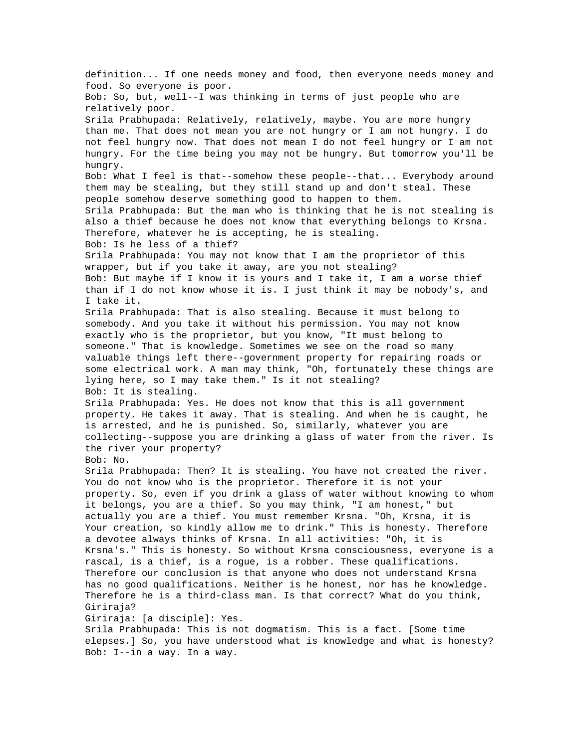definition... If one needs money and food, then everyone needs money and food. So everyone is poor. Bob: So, but, well--I was thinking in terms of just people who are relatively poor. Srila Prabhupada: Relatively, relatively, maybe. You are more hungry than me. That does not mean you are not hungry or I am not hungry. I do not feel hungry now. That does not mean I do not feel hungry or I am not hungry. For the time being you may not be hungry. But tomorrow you'll be hungry. Bob: What I feel is that--somehow these people--that... Everybody around them may be stealing, but they still stand up and don't steal. These people somehow deserve something good to happen to them. Srila Prabhupada: But the man who is thinking that he is not stealing is also a thief because he does not know that everything belongs to Krsna. Therefore, whatever he is accepting, he is stealing. Bob: Is he less of a thief? Srila Prabhupada: You may not know that I am the proprietor of this wrapper, but if you take it away, are you not stealing? Bob: But maybe if I know it is yours and I take it, I am a worse thief than if I do not know whose it is. I just think it may be nobody's, and I take it. Srila Prabhupada: That is also stealing. Because it must belong to somebody. And you take it without his permission. You may not know exactly who is the proprietor, but you know, "It must belong to someone." That is knowledge. Sometimes we see on the road so many valuable things left there--government property for repairing roads or some electrical work. A man may think, "Oh, fortunately these things are lying here, so I may take them." Is it not stealing? Bob: It is stealing. Srila Prabhupada: Yes. He does not know that this is all government property. He takes it away. That is stealing. And when he is caught, he is arrested, and he is punished. So, similarly, whatever you are collecting--suppose you are drinking a glass of water from the river. Is the river your property? Bob: No. Srila Prabhupada: Then? It is stealing. You have not created the river. You do not know who is the proprietor. Therefore it is not your property. So, even if you drink a glass of water without knowing to whom it belongs, you are a thief. So you may think, "I am honest," but actually you are a thief. You must remember Krsna. "Oh, Krsna, it is Your creation, so kindly allow me to drink." This is honesty. Therefore a devotee always thinks of Krsna. In all activities: "Oh, it is Krsna's." This is honesty. So without Krsna consciousness, everyone is a rascal, is a thief, is a rogue, is a robber. These qualifications. Therefore our conclusion is that anyone who does not understand Krsna has no good qualifications. Neither is he honest, nor has he knowledge. Therefore he is a third-class man. Is that correct? What do you think, Giriraja? Giriraja: [a disciple]: Yes. Srila Prabhupada: This is not dogmatism. This is a fact. [Some time elepses.] So, you have understood what is knowledge and what is honesty? Bob: I--in a way. In a way.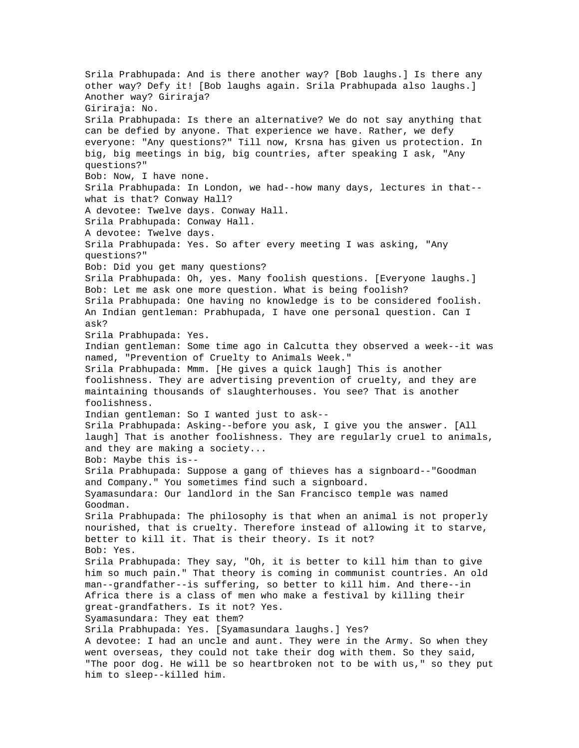Srila Prabhupada: And is there another way? [Bob laughs.] Is there any other way? Defy it! [Bob laughs again. Srila Prabhupada also laughs.] Another way? Giriraja? Giriraja: No. Srila Prabhupada: Is there an alternative? We do not say anything that can be defied by anyone. That experience we have. Rather, we defy everyone: "Any questions?" Till now, Krsna has given us protection. In big, big meetings in big, big countries, after speaking I ask, "Any questions?" Bob: Now, I have none. Srila Prabhupada: In London, we had--how many days, lectures in that- what is that? Conway Hall? A devotee: Twelve days. Conway Hall. Srila Prabhupada: Conway Hall. A devotee: Twelve days. Srila Prabhupada: Yes. So after every meeting I was asking, "Any questions?" Bob: Did you get many questions? Srila Prabhupada: Oh, yes. Many foolish questions. [Everyone laughs.] Bob: Let me ask one more question. What is being foolish? Srila Prabhupada: One having no knowledge is to be considered foolish. An Indian gentleman: Prabhupada, I have one personal question. Can I ask? Srila Prabhupada: Yes. Indian gentleman: Some time ago in Calcutta they observed a week--it was named, "Prevention of Cruelty to Animals Week." Srila Prabhupada: Mmm. [He gives a quick laugh] This is another foolishness. They are advertising prevention of cruelty, and they are maintaining thousands of slaughterhouses. You see? That is another foolishness. Indian gentleman: So I wanted just to ask-- Srila Prabhupada: Asking--before you ask, I give you the answer. [All laugh] That is another foolishness. They are regularly cruel to animals, and they are making a society... Bob: Maybe this is-- Srila Prabhupada: Suppose a gang of thieves has a signboard--"Goodman and Company." You sometimes find such a signboard. Syamasundara: Our landlord in the San Francisco temple was named Goodman. Srila Prabhupada: The philosophy is that when an animal is not properly nourished, that is cruelty. Therefore instead of allowing it to starve, better to kill it. That is their theory. Is it not? Bob: Yes. Srila Prabhupada: They say, "Oh, it is better to kill him than to give him so much pain." That theory is coming in communist countries. An old man--grandfather--is suffering, so better to kill him. And there--in Africa there is a class of men who make a festival by killing their great-grandfathers. Is it not? Yes. Syamasundara: They eat them? Srila Prabhupada: Yes. [Syamasundara laughs.] Yes? A devotee: I had an uncle and aunt. They were in the Army. So when they went overseas, they could not take their dog with them. So they said, "The poor dog. He will be so heartbroken not to be with us," so they put him to sleep--killed him.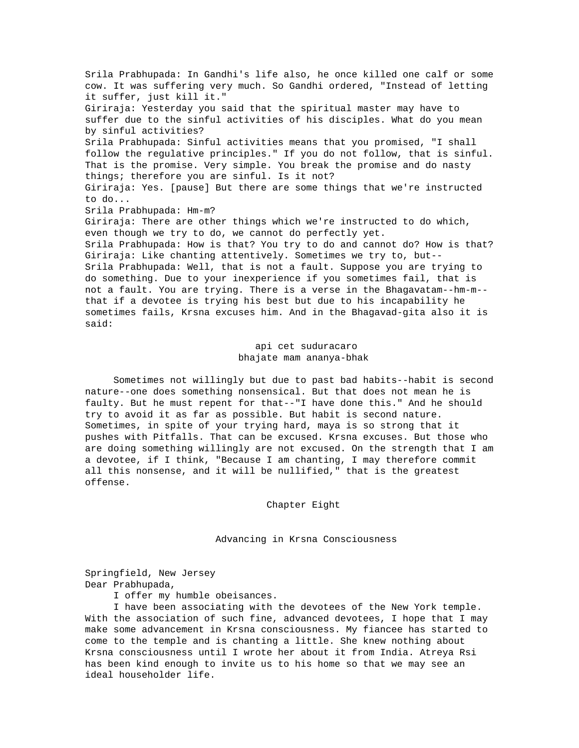Srila Prabhupada: In Gandhi's life also, he once killed one calf or some cow. It was suffering very much. So Gandhi ordered, "Instead of letting it suffer, just kill it." Giriraja: Yesterday you said that the spiritual master may have to suffer due to the sinful activities of his disciples. What do you mean by sinful activities? Srila Prabhupada: Sinful activities means that you promised, "I shall follow the regulative principles." If you do not follow, that is sinful. That is the promise. Very simple. You break the promise and do nasty things; therefore you are sinful. Is it not? Giriraja: Yes. [pause] But there are some things that we're instructed to do... Srila Prabhupada: Hm-m? Giriraja: There are other things which we're instructed to do which, even though we try to do, we cannot do perfectly yet. Srila Prabhupada: How is that? You try to do and cannot do? How is that? Giriraja: Like chanting attentively. Sometimes we try to, but-- Srila Prabhupada: Well, that is not a fault. Suppose you are trying to do something. Due to your inexperience if you sometimes fail, that is not a fault. You are trying. There is a verse in the Bhagavatam--hm-m- that if a devotee is trying his best but due to his incapability he sometimes fails, Krsna excuses him. And in the Bhagavad-gita also it is said:

## api cet suduracaro bhajate mam ananya-bhak

 Sometimes not willingly but due to past bad habits--habit is second nature--one does something nonsensical. But that does not mean he is faulty. But he must repent for that--"I have done this." And he should try to avoid it as far as possible. But habit is second nature. Sometimes, in spite of your trying hard, maya is so strong that it pushes with Pitfalls. That can be excused. Krsna excuses. But those who are doing something willingly are not excused. On the strength that I am a devotee, if I think, "Because I am chanting, I may therefore commit all this nonsense, and it will be nullified," that is the greatest offense.

Chapter Eight

## Advancing in Krsna Consciousness

Springfield, New Jersey Dear Prabhupada,

I offer my humble obeisances.

 I have been associating with the devotees of the New York temple. With the association of such fine, advanced devotees, I hope that I may make some advancement in Krsna consciousness. My fiancee has started to come to the temple and is chanting a little. She knew nothing about Krsna consciousness until I wrote her about it from India. Atreya Rsi has been kind enough to invite us to his home so that we may see an ideal householder life.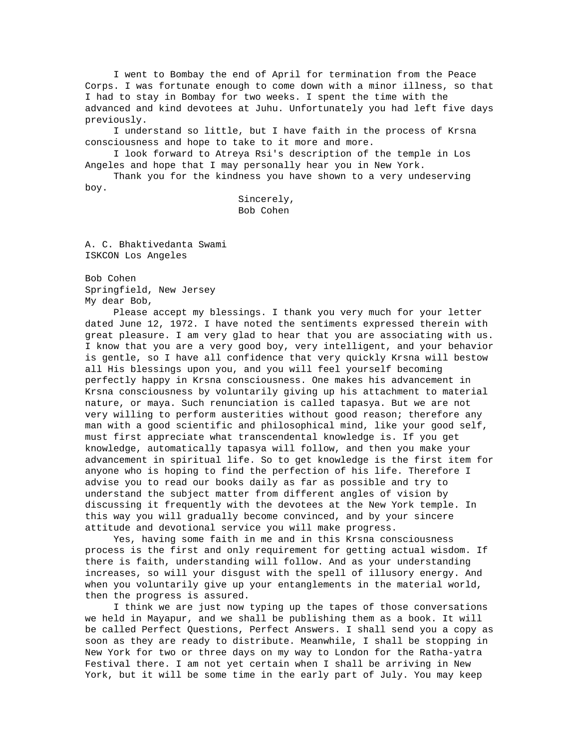I went to Bombay the end of April for termination from the Peace Corps. I was fortunate enough to come down with a minor illness, so that I had to stay in Bombay for two weeks. I spent the time with the advanced and kind devotees at Juhu. Unfortunately you had left five days previously.

 I understand so little, but I have faith in the process of Krsna consciousness and hope to take to it more and more.

 I look forward to Atreya Rsi's description of the temple in Los Angeles and hope that I may personally hear you in New York.

 Thank you for the kindness you have shown to a very undeserving boy.

> Sincerely, Bob Cohen

A. C. Bhaktivedanta Swami ISKCON Los Angeles

Bob Cohen Springfield, New Jersey My dear Bob,

 Please accept my blessings. I thank you very much for your letter dated June 12, 1972. I have noted the sentiments expressed therein with great pleasure. I am very glad to hear that you are associating with us. I know that you are a very good boy, very intelligent, and your behavior is gentle, so I have all confidence that very quickly Krsna will bestow all His blessings upon you, and you will feel yourself becoming perfectly happy in Krsna consciousness. One makes his advancement in Krsna consciousness by voluntarily giving up his attachment to material nature, or maya. Such renunciation is called tapasya. But we are not very willing to perform austerities without good reason; therefore any man with a good scientific and philosophical mind, like your good self, must first appreciate what transcendental knowledge is. If you get knowledge, automatically tapasya will follow, and then you make your advancement in spiritual life. So to get knowledge is the first item for anyone who is hoping to find the perfection of his life. Therefore I advise you to read our books daily as far as possible and try to understand the subject matter from different angles of vision by discussing it frequently with the devotees at the New York temple. In this way you will gradually become convinced, and by your sincere attitude and devotional service you will make progress.

 Yes, having some faith in me and in this Krsna consciousness process is the first and only requirement for getting actual wisdom. If there is faith, understanding will follow. And as your understanding increases, so will your disgust with the spell of illusory energy. And when you voluntarily give up your entanglements in the material world, then the progress is assured.

 I think we are just now typing up the tapes of those conversations we held in Mayapur, and we shall be publishing them as a book. It will be called Perfect Questions, Perfect Answers. I shall send you a copy as soon as they are ready to distribute. Meanwhile, I shall be stopping in New York for two or three days on my way to London for the Ratha-yatra Festival there. I am not yet certain when I shall be arriving in New York, but it will be some time in the early part of July. You may keep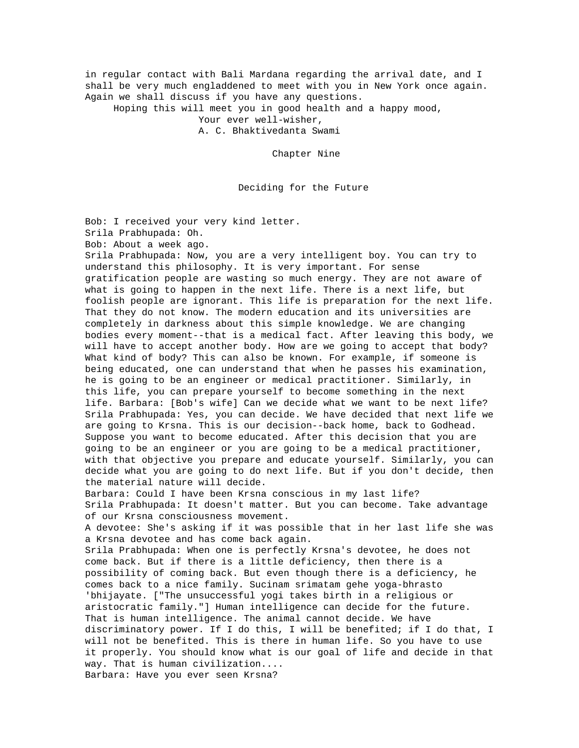in regular contact with Bali Mardana regarding the arrival date, and I shall be very much engladdened to meet with you in New York once again. Again we shall discuss if you have any questions.

Hoping this will meet you in good health and a happy mood,

Your ever well-wisher,

A. C. Bhaktivedanta Swami

Chapter Nine

Deciding for the Future

Bob: I received your very kind letter.

Srila Prabhupada: Oh.

Bob: About a week ago.

Srila Prabhupada: Now, you are a very intelligent boy. You can try to understand this philosophy. It is very important. For sense gratification people are wasting so much energy. They are not aware of what is going to happen in the next life. There is a next life, but foolish people are ignorant. This life is preparation for the next life. That they do not know. The modern education and its universities are completely in darkness about this simple knowledge. We are changing bodies every moment--that is a medical fact. After leaving this body, we will have to accept another body. How are we going to accept that body? What kind of body? This can also be known. For example, if someone is being educated, one can understand that when he passes his examination, he is going to be an engineer or medical practitioner. Similarly, in this life, you can prepare yourself to become something in the next life. Barbara: [Bob's wife] Can we decide what we want to be next life? Srila Prabhupada: Yes, you can decide. We have decided that next life we are going to Krsna. This is our decision--back home, back to Godhead. Suppose you want to become educated. After this decision that you are going to be an engineer or you are going to be a medical practitioner, with that objective you prepare and educate yourself. Similarly, you can decide what you are going to do next life. But if you don't decide, then the material nature will decide.

Barbara: Could I have been Krsna conscious in my last life? Srila Prabhupada: It doesn't matter. But you can become. Take advantage of our Krsna consciousness movement.

A devotee: She's asking if it was possible that in her last life she was a Krsna devotee and has come back again.

Srila Prabhupada: When one is perfectly Krsna's devotee, he does not come back. But if there is a little deficiency, then there is a possibility of coming back. But even though there is a deficiency, he comes back to a nice family. Sucinam srimatam gehe yoga-bhrasto 'bhijayate. ["The unsuccessful yogi takes birth in a religious or aristocratic family."] Human intelligence can decide for the future. That is human intelligence. The animal cannot decide. We have discriminatory power. If I do this, I will be benefited; if I do that, I will not be benefited. This is there in human life. So you have to use it properly. You should know what is our goal of life and decide in that way. That is human civilization.... Barbara: Have you ever seen Krsna?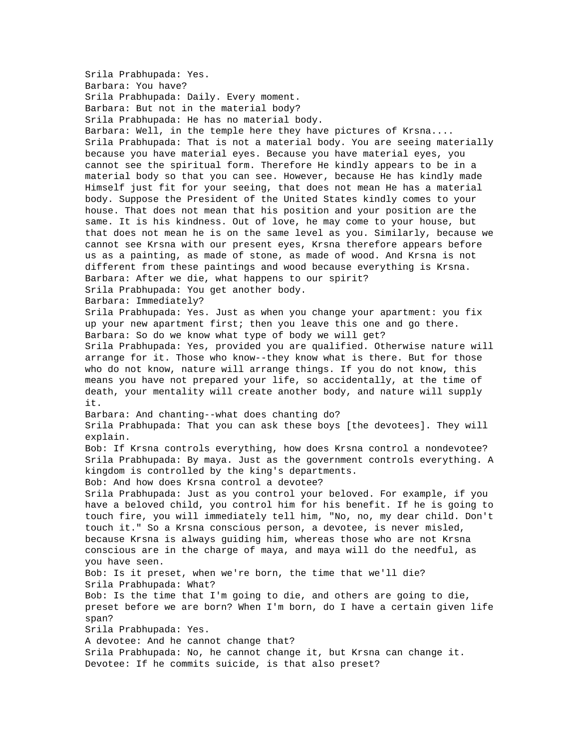Srila Prabhupada: Yes. Barbara: You have? Srila Prabhupada: Daily. Every moment. Barbara: But not in the material body? Srila Prabhupada: He has no material body. Barbara: Well, in the temple here they have pictures of Krsna.... Srila Prabhupada: That is not a material body. You are seeing materially because you have material eyes. Because you have material eyes, you cannot see the spiritual form. Therefore He kindly appears to be in a material body so that you can see. However, because He has kindly made Himself just fit for your seeing, that does not mean He has a material body. Suppose the President of the United States kindly comes to your house. That does not mean that his position and your position are the same. It is his kindness. Out of love, he may come to your house, but that does not mean he is on the same level as you. Similarly, because we cannot see Krsna with our present eyes, Krsna therefore appears before us as a painting, as made of stone, as made of wood. And Krsna is not different from these paintings and wood because everything is Krsna. Barbara: After we die, what happens to our spirit? Srila Prabhupada: You get another body. Barbara: Immediately? Srila Prabhupada: Yes. Just as when you change your apartment: you fix up your new apartment first; then you leave this one and go there. Barbara: So do we know what type of body we will get? Srila Prabhupada: Yes, provided you are qualified. Otherwise nature will arrange for it. Those who know--they know what is there. But for those who do not know, nature will arrange things. If you do not know, this means you have not prepared your life, so accidentally, at the time of death, your mentality will create another body, and nature will supply it. Barbara: And chanting--what does chanting do? Srila Prabhupada: That you can ask these boys [the devotees]. They will explain. Bob: If Krsna controls everything, how does Krsna control a nondevotee? Srila Prabhupada: By maya. Just as the government controls everything. A kingdom is controlled by the king's departments. Bob: And how does Krsna control a devotee? Srila Prabhupada: Just as you control your beloved. For example, if you have a beloved child, you control him for his benefit. If he is going to touch fire, you will immediately tell him, "No, no, my dear child. Don't touch it." So a Krsna conscious person, a devotee, is never misled, because Krsna is always guiding him, whereas those who are not Krsna conscious are in the charge of maya, and maya will do the needful, as you have seen. Bob: Is it preset, when we're born, the time that we'll die? Srila Prabhupada: What? Bob: Is the time that I'm going to die, and others are going to die, preset before we are born? When I'm born, do I have a certain given life span? Srila Prabhupada: Yes. A devotee: And he cannot change that? Srila Prabhupada: No, he cannot change it, but Krsna can change it. Devotee: If he commits suicide, is that also preset?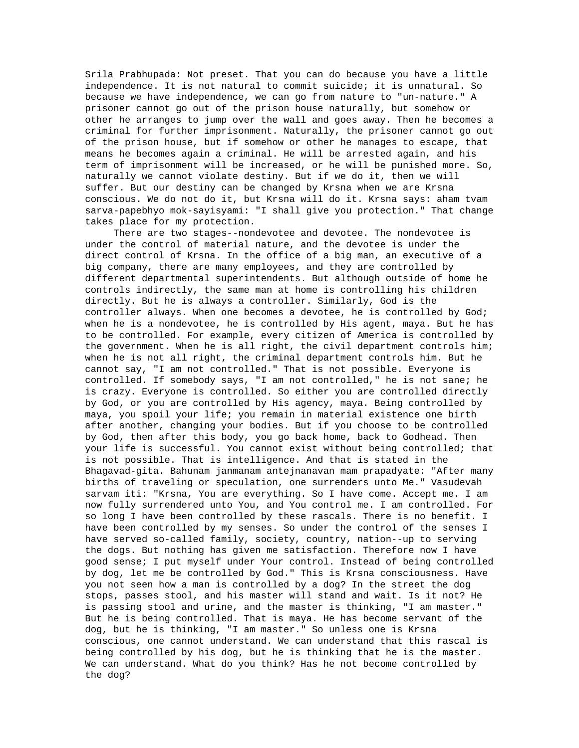Srila Prabhupada: Not preset. That you can do because you have a little independence. It is not natural to commit suicide; it is unnatural. So because we have independence, we can go from nature to "un-nature." A prisoner cannot go out of the prison house naturally, but somehow or other he arranges to jump over the wall and goes away. Then he becomes a criminal for further imprisonment. Naturally, the prisoner cannot go out of the prison house, but if somehow or other he manages to escape, that means he becomes again a criminal. He will be arrested again, and his term of imprisonment will be increased, or he will be punished more. So, naturally we cannot violate destiny. But if we do it, then we will suffer. But our destiny can be changed by Krsna when we are Krsna conscious. We do not do it, but Krsna will do it. Krsna says: aham tvam sarva-papebhyo mok-sayisyami: "I shall give you protection." That change takes place for my protection.

 There are two stages--nondevotee and devotee. The nondevotee is under the control of material nature, and the devotee is under the direct control of Krsna. In the office of a big man, an executive of a big company, there are many employees, and they are controlled by different departmental superintendents. But although outside of home he controls indirectly, the same man at home is controlling his children directly. But he is always a controller. Similarly, God is the controller always. When one becomes a devotee, he is controlled by God; when he is a nondevotee, he is controlled by His agent, maya. But he has to be controlled. For example, every citizen of America is controlled by the government. When he is all right, the civil department controls him; when he is not all right, the criminal department controls him. But he cannot say, "I am not controlled." That is not possible. Everyone is controlled. If somebody says, "I am not controlled," he is not sane; he is crazy. Everyone is controlled. So either you are controlled directly by God, or you are controlled by His agency, maya. Being controlled by maya, you spoil your life; you remain in material existence one birth after another, changing your bodies. But if you choose to be controlled by God, then after this body, you go back home, back to Godhead. Then your life is successful. You cannot exist without being controlled; that is not possible. That is intelligence. And that is stated in the Bhagavad-gita. Bahunam janmanam antejnanavan mam prapadyate: "After many births of traveling or speculation, one surrenders unto Me." Vasudevah sarvam iti: "Krsna, You are everything. So I have come. Accept me. I am now fully surrendered unto You, and You control me. I am controlled. For so long I have been controlled by these rascals. There is no benefit. I have been controlled by my senses. So under the control of the senses I have served so-called family, society, country, nation--up to serving the dogs. But nothing has given me satisfaction. Therefore now I have good sense; I put myself under Your control. Instead of being controlled by dog, let me be controlled by God." This is Krsna consciousness. Have you not seen how a man is controlled by a dog? In the street the dog stops, passes stool, and his master will stand and wait. Is it not? He is passing stool and urine, and the master is thinking, "I am master." But he is being controlled. That is maya. He has become servant of the dog, but he is thinking, "I am master." So unless one is Krsna conscious, one cannot understand. We can understand that this rascal is being controlled by his dog, but he is thinking that he is the master. We can understand. What do you think? Has he not become controlled by the dog?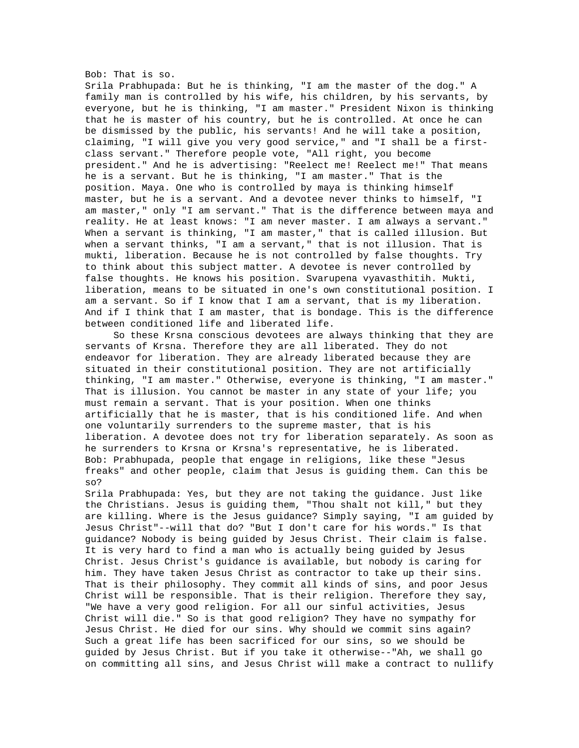Bob: That is so. Srila Prabhupada: But he is thinking, "I am the master of the dog." A family man is controlled by his wife, his children, by his servants, by everyone, but he is thinking, "I am master." President Nixon is thinking that he is master of his country, but he is controlled. At once he can be dismissed by the public, his servants! And he will take a position, claiming, "I will give you very good service," and "I shall be a firstclass servant." Therefore people vote, "All right, you become president." And he is advertising: "Reelect me! Reelect me!" That means he is a servant. But he is thinking, "I am master." That is the position. Maya. One who is controlled by maya is thinking himself master, but he is a servant. And a devotee never thinks to himself, "I am master," only "I am servant." That is the difference between maya and reality. He at least knows: "I am never master. I am always a servant." When a servant is thinking, "I am master," that is called illusion. But when a servant thinks, "I am a servant," that is not illusion. That is mukti, liberation. Because he is not controlled by false thoughts. Try to think about this subject matter. A devotee is never controlled by false thoughts. He knows his position. Svarupena vyavasthitih. Mukti, liberation, means to be situated in one's own constitutional position. I am a servant. So if I know that I am a servant, that is my liberation.

between conditioned life and liberated life. So these Krsna conscious devotees are always thinking that they are servants of Krsna. Therefore they are all liberated. They do not endeavor for liberation. They are already liberated because they are situated in their constitutional position. They are not artificially thinking, "I am master." Otherwise, everyone is thinking, "I am master." That is illusion. You cannot be master in any state of your life; you must remain a servant. That is your position. When one thinks artificially that he is master, that is his conditioned life. And when one voluntarily surrenders to the supreme master, that is his liberation. A devotee does not try for liberation separately. As soon as he surrenders to Krsna or Krsna's representative, he is liberated. Bob: Prabhupada, people that engage in religions, like these "Jesus freaks" and other people, claim that Jesus is guiding them. Can this be so?

And if I think that I am master, that is bondage. This is the difference

Srila Prabhupada: Yes, but they are not taking the guidance. Just like the Christians. Jesus is guiding them, "Thou shalt not kill," but they are killing. Where is the Jesus guidance? Simply saying, "I am guided by Jesus Christ"--will that do? "But I don't care for his words." Is that guidance? Nobody is being guided by Jesus Christ. Their claim is false. It is very hard to find a man who is actually being guided by Jesus Christ. Jesus Christ's guidance is available, but nobody is caring for him. They have taken Jesus Christ as contractor to take up their sins. That is their philosophy. They commit all kinds of sins, and poor Jesus Christ will be responsible. That is their religion. Therefore they say, "We have a very good religion. For all our sinful activities, Jesus Christ will die." So is that good religion? They have no sympathy for Jesus Christ. He died for our sins. Why should we commit sins again? Such a great life has been sacrificed for our sins, so we should be guided by Jesus Christ. But if you take it otherwise--"Ah, we shall go on committing all sins, and Jesus Christ will make a contract to nullify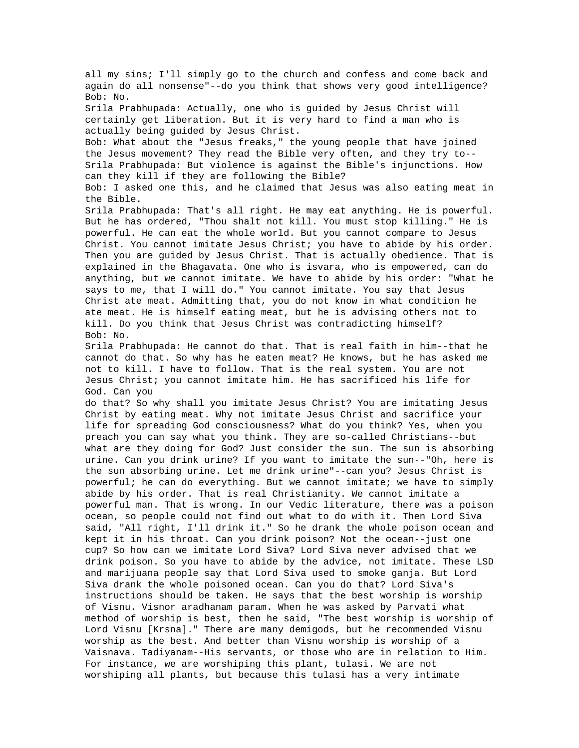all my sins; I'll simply go to the church and confess and come back and again do all nonsense"--do you think that shows very good intelligence? Bob: No. Srila Prabhupada: Actually, one who is guided by Jesus Christ will certainly get liberation. But it is very hard to find a man who is actually being guided by Jesus Christ. Bob: What about the "Jesus freaks," the young people that have joined the Jesus movement? They read the Bible very often, and they try to-- Srila Prabhupada: But violence is against the Bible's injunctions. How can they kill if they are following the Bible? Bob: I asked one this, and he claimed that Jesus was also eating meat in the Bible. Srila Prabhupada: That's all right. He may eat anything. He is powerful. But he has ordered, "Thou shalt not kill. You must stop killing." He is powerful. He can eat the whole world. But you cannot compare to Jesus Christ. You cannot imitate Jesus Christ; you have to abide by his order. Then you are guided by Jesus Christ. That is actually obedience. That is explained in the Bhagavata. One who is isvara, who is empowered, can do anything, but we cannot imitate. We have to abide by his order: "What he says to me, that I will do." You cannot imitate. You say that Jesus Christ ate meat. Admitting that, you do not know in what condition he ate meat. He is himself eating meat, but he is advising others not to kill. Do you think that Jesus Christ was contradicting himself? Bob: No. Srila Prabhupada: He cannot do that. That is real faith in him--that he cannot do that. So why has he eaten meat? He knows, but he has asked me not to kill. I have to follow. That is the real system. You are not Jesus Christ; you cannot imitate him. He has sacrificed his life for God. Can you do that? So why shall you imitate Jesus Christ? You are imitating Jesus Christ by eating meat. Why not imitate Jesus Christ and sacrifice your life for spreading God consciousness? What do you think? Yes, when you preach you can say what you think. They are so-called Christians--but what are they doing for God? Just consider the sun. The sun is absorbing urine. Can you drink urine? If you want to imitate the sun--"Oh, here is the sun absorbing urine. Let me drink urine"--can you? Jesus Christ is powerful; he can do everything. But we cannot imitate; we have to simply abide by his order. That is real Christianity. We cannot imitate a powerful man. That is wrong. In our Vedic literature, there was a poison ocean, so people could not find out what to do with it. Then Lord Siva said, "All right, I'll drink it." So he drank the whole poison ocean and kept it in his throat. Can you drink poison? Not the ocean--just one cup? So how can we imitate Lord Siva? Lord Siva never advised that we drink poison. So you have to abide by the advice, not imitate. These LSD and marijuana people say that Lord Siva used to smoke ganja. But Lord Siva drank the whole poisoned ocean. Can you do that? Lord Siva's instructions should be taken. He says that the best worship is worship of Visnu. Visnor aradhanam param. When he was asked by Parvati what method of worship is best, then he said, "The best worship is worship of Lord Visnu [Krsna]." There are many demigods, but he recommended Visnu worship as the best. And better than Visnu worship is worship of a Vaisnava. Tadiyanam--His servants, or those who are in relation to Him. For instance, we are worshiping this plant, tulasi. We are not worshiping all plants, but because this tulasi has a very intimate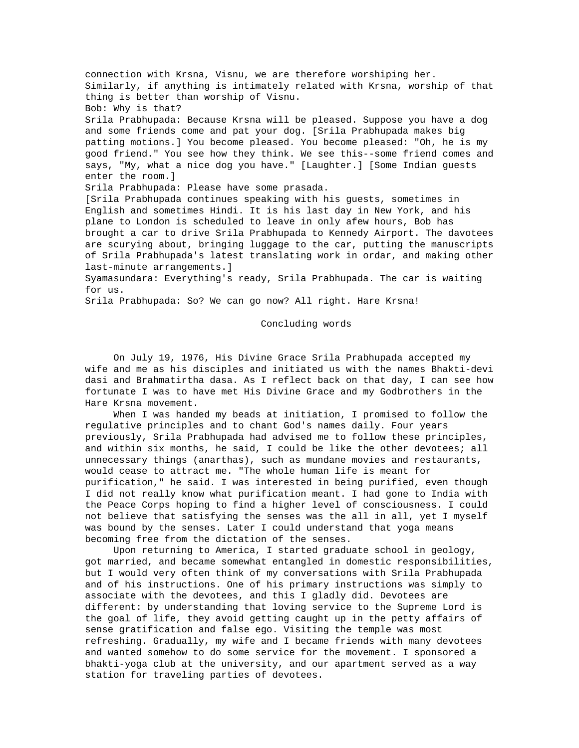connection with Krsna, Visnu, we are therefore worshiping her. Similarly, if anything is intimately related with Krsna, worship of that thing is better than worship of Visnu. Bob: Why is that? Srila Prabhupada: Because Krsna will be pleased. Suppose you have a dog and some friends come and pat your dog. [Srila Prabhupada makes big patting motions.] You become pleased. You become pleased: "Oh, he is my good friend." You see how they think. We see this--some friend comes and says, "My, what a nice dog you have." [Laughter.] [Some Indian guests enter the room.] Srila Prabhupada: Please have some prasada. [Srila Prabhupada continues speaking with his guests, sometimes in English and sometimes Hindi. It is his last day in New York, and his plane to London is scheduled to leave in only afew hours, Bob has brought a car to drive Srila Prabhupada to Kennedy Airport. The davotees are scurying about, bringing luggage to the car, putting the manuscripts of Srila Prabhupada's latest translating work in ordar, and making other last-minute arrangements.] Syamasundara: Everything's ready, Srila Prabhupada. The car is waiting for us.

Srila Prabhupada: So? We can go now? All right. Hare Krsna!

Concluding words

 On July 19, 1976, His Divine Grace Srila Prabhupada accepted my wife and me as his disciples and initiated us with the names Bhakti-devi dasi and Brahmatirtha dasa. As I reflect back on that day, I can see how fortunate I was to have met His Divine Grace and my Godbrothers in the Hare Krsna movement.

 When I was handed my beads at initiation, I promised to follow the regulative principles and to chant God's names daily. Four years previously, Srila Prabhupada had advised me to follow these principles, and within six months, he said, I could be like the other devotees; all unnecessary things (anarthas), such as mundane movies and restaurants, would cease to attract me. "The whole human life is meant for purification," he said. I was interested in being purified, even though I did not really know what purification meant. I had gone to India with the Peace Corps hoping to find a higher level of consciousness. I could not believe that satisfying the senses was the all in all, yet I myself was bound by the senses. Later I could understand that yoga means becoming free from the dictation of the senses.

 Upon returning to America, I started graduate school in geology, got married, and became somewhat entangled in domestic responsibilities, but I would very often think of my conversations with Srila Prabhupada and of his instructions. One of his primary instructions was simply to associate with the devotees, and this I gladly did. Devotees are different: by understanding that loving service to the Supreme Lord is the goal of life, they avoid getting caught up in the petty affairs of sense gratification and false ego. Visiting the temple was most refreshing. Gradually, my wife and I became friends with many devotees and wanted somehow to do some service for the movement. I sponsored a bhakti-yoga club at the university, and our apartment served as a way station for traveling parties of devotees.